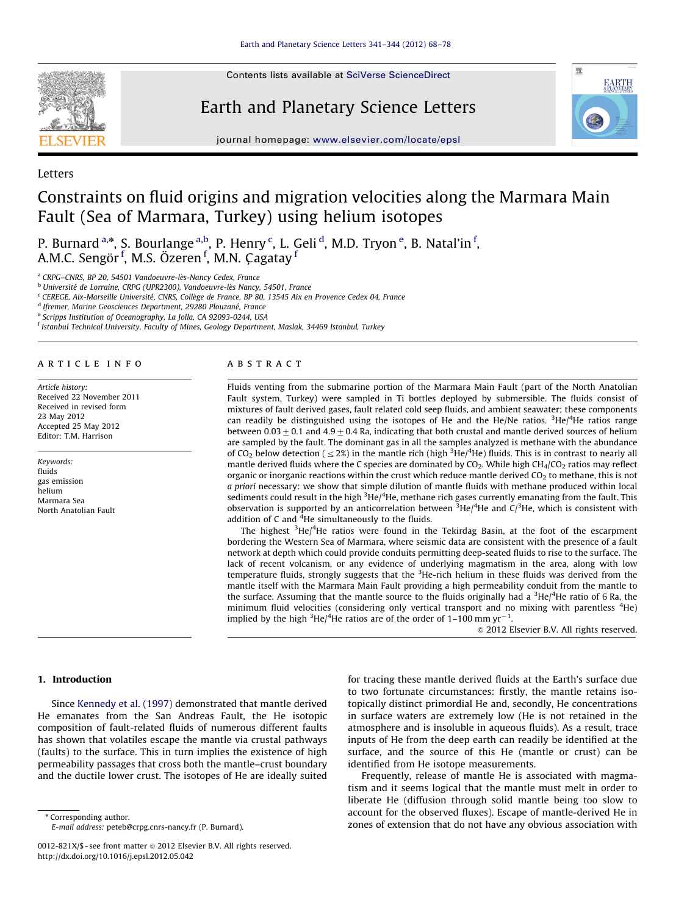Contents lists available at [SciVerse ScienceDirect](www.elsevier.com/locate/epsl)



Letters

Earth and Planetary Science Letters



journal homepage: <www.elsevier.com/locate/epsl>

# Constraints on fluid origins and migration velocities along the Marmara Main Fault (Sea of Marmara, Turkey) using helium isotopes

P. Burnard <sup>a,\*</sup>, S. Bourlange <sup>a,b</sup>, P. Henry <sup>c</sup>, L. Geli <sup>d</sup>, M.D. Tryon <sup>e</sup>, B. Natal'in <sup>f</sup>, A.M.C. Sengör <sup>f</sup>, M.S. Özeren <sup>f</sup>, M.N. Çagatay <sup>f</sup>

<sup>a</sup> CRPG-CNRS, BP 20, 54501 Vandoeuvre-lès-Nancy Cedex, France

<sup>b</sup> Université de Lorraine, CRPG (UPR2300), Vandoeuvre-lès Nancy, 54501, France

<sup>c</sup> CEREGE, Aix-Marseille Université, CNRS, Collège de France, BP 80, 13545 Aix en Provence Cedex 04, France

<sup>d</sup> Ifremer, Marine Geosciences Department, 29280 Plouzané, France

<sup>e</sup> Scripps Institution of Oceanography, La Jolla, CA 92093-0244, USA

f Istanbul Technical University, Faculty of Mines, Geology Department, Maslak, 34469 Istanbul, Turkey

#### article info

Article history: Received 22 November 2011 Received in revised form 23 May 2012 Accepted 25 May 2012 Editor: T.M. Harrison

Keywords: fluids gas emission helium Marmara Sea North Anatolian Fault

#### **ABSTRACT**

Fluids venting from the submarine portion of the Marmara Main Fault (part of the North Anatolian Fault system, Turkey) were sampled in Ti bottles deployed by submersible. The fluids consist of mixtures of fault derived gases, fault related cold seep fluids, and ambient seawater; these components can readily be distinguished using the isotopes of He and the He/Ne ratios.  ${}^{3}$ He/<sup>4</sup>He ratios range between 0.03  $\pm$  0.1 and 4.9  $\pm$  0.4 Ra, indicating that both crustal and mantle derived sources of helium are sampled by the fault. The dominant gas in all the samples analyzed is methane with the abundance of CO<sub>2</sub> below detection (  $\leq$  2%) in the mantle rich (high <sup>3</sup>He/<sup>4</sup>He) fluids. This is in contrast to nearly all mantle derived fluids where the C species are dominated by  $CO<sub>2</sub>$ . While high  $CH<sub>4</sub>/CO<sub>2</sub>$  ratios may reflect organic or inorganic reactions within the crust which reduce mantle derived  $CO<sub>2</sub>$  to methane, this is not a priori necessary: we show that simple dilution of mantle fluids with methane produced within local sediments could result in the high <sup>3</sup>He/<sup>4</sup>He, methane rich gases currently emanating from the fault. This observation is supported by an anticorrelation between  ${}^{3}$ He/<sup>4</sup>He and C/<sup>3</sup>He, which is consistent with addition of C and <sup>4</sup>He simultaneously to the fluids.

The highest <sup>3</sup>He/<sup>4</sup>He ratios were found in the Tekirdag Basin, at the foot of the escarpment bordering the Western Sea of Marmara, where seismic data are consistent with the presence of a fault network at depth which could provide conduits permitting deep-seated fluids to rise to the surface. The lack of recent volcanism, or any evidence of underlying magmatism in the area, along with low temperature fluids, strongly suggests that the <sup>3</sup>He-rich helium in these fluids was derived from the mantle itself with the Marmara Main Fault providing a high permeability conduit from the mantle to the surface. Assuming that the mantle source to the fluids originally had a  ${}^{3}$ He/<sup>4</sup>He ratio of 6 Ra, the minimum fluid velocities (considering only vertical transport and no mixing with parentless <sup>4</sup>He) implied by the high <sup>3</sup>He/<sup>4</sup>He ratios are of the order of 1–100 mm yr<sup>-1</sup>.

 $\odot$  2012 Elsevier B.V. All rights reserved.

# 1. Introduction

Since [Kennedy et al. \(1997\)](#page-9-0) demonstrated that mantle derived He emanates from the San Andreas Fault, the He isotopic composition of fault-related fluids of numerous different faults has shown that volatiles escape the mantle via crustal pathways (faults) to the surface. This in turn implies the existence of high permeability passages that cross both the mantle–crust boundary and the ductile lower crust. The isotopes of He are ideally suited

\* Corresponding author.

for tracing these mantle derived fluids at the Earth's surface due to two fortunate circumstances: firstly, the mantle retains isotopically distinct primordial He and, secondly, He concentrations in surface waters are extremely low (He is not retained in the atmosphere and is insoluble in aqueous fluids). As a result, trace inputs of He from the deep earth can readily be identified at the surface, and the source of this He (mantle or crust) can be identified from He isotope measurements.

Frequently, release of mantle He is associated with magmatism and it seems logical that the mantle must melt in order to liberate He (diffusion through solid mantle being too slow to account for the observed fluxes). Escape of mantle-derived He in zones of extension that do not have any obvious association with

E-mail address: [peteb@crpg.cnrs-nancy.fr \(P. Burnard\).](mailto:peteb@crpg.cnrs-nancy.fr)

<sup>0012-821</sup>X/\$ - see front matter  $\circ$  2012 Elsevier B.V. All rights reserved. [http://dx.doi.org/10.1016/j.epsl.2012.05.042](dx.doi.org/10.1016/j.epsl.2012.05.042)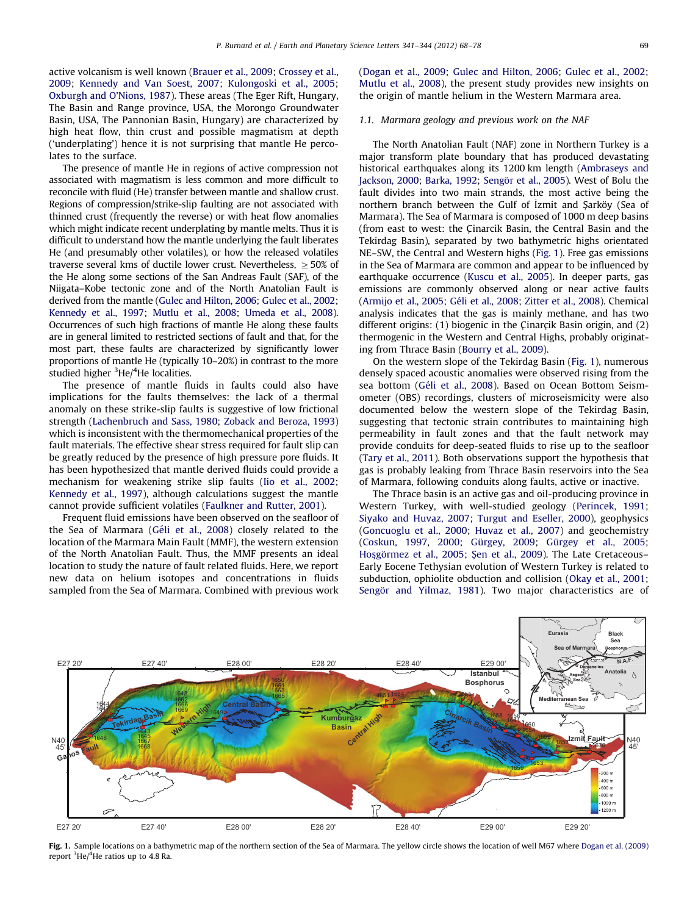<span id="page-1-0"></span>active volcanism is well known [\(Brauer et al., 2009;](#page-9-0) [Crossey et al.,](#page-9-0) [2009;](#page-9-0) [Kennedy and Van Soest, 2007](#page-9-0); [Kulongoski et al., 2005;](#page-9-0) [Oxburgh and O'Nions, 1987](#page-10-0)). These areas (The Eger Rift, Hungary, The Basin and Range province, USA, the Morongo Groundwater Basin, USA, The Pannonian Basin, Hungary) are characterized by high heat flow, thin crust and possible magmatism at depth ('underplating') hence it is not surprising that mantle He percolates to the surface.

The presence of mantle He in regions of active compression not associated with magmatism is less common and more difficult to reconcile with fluid (He) transfer between mantle and shallow crust. Regions of compression/strike-slip faulting are not associated with thinned crust (frequently the reverse) or with heat flow anomalies which might indicate recent underplating by mantle melts. Thus it is difficult to understand how the mantle underlying the fault liberates He (and presumably other volatiles), or how the released volatiles traverse several kms of ductile lower crust. Nevertheless,  $\geq$  50% of the He along some sections of the San Andreas Fault (SAF), of the Niigata–Kobe tectonic zone and of the North Anatolian Fault is derived from the mantle ([Gulec and Hilton, 2006](#page-9-0); [Gulec et al., 2002;](#page-9-0) [Kennedy et al., 1997;](#page-9-0) [Mutlu et al., 2008;](#page-10-0) [Umeda et al., 2008\)](#page-10-0). Occurrences of such high fractions of mantle He along these faults are in general limited to restricted sections of fault and that, for the most part, these faults are characterized by significantly lower proportions of mantle He (typically 10–20%) in contrast to the more studied higher <sup>3</sup>He/<sup>4</sup>He localities.

The presence of mantle fluids in faults could also have implications for the faults themselves: the lack of a thermal anomaly on these strike-slip faults is suggestive of low frictional strength [\(Lachenbruch and Sass, 1980](#page-9-0); [Zoback and Beroza, 1993\)](#page-10-0) which is inconsistent with the thermomechanical properties of the fault materials. The effective shear stress required for fault slip can be greatly reduced by the presence of high pressure pore fluids. It has been hypothesized that mantle derived fluids could provide a mechanism for weakening strike slip faults [\(Iio et al., 2002;](#page-9-0) [Kennedy et al., 1997\)](#page-9-0), although calculations suggest the mantle cannot provide sufficient volatiles [\(Faulkner and Rutter, 2001](#page-9-0)).

Frequent fluid emissions have been observed on the seafloor of the Sea of Marmara (Géli et al., 2008) closely related to the location of the Marmara Main Fault (MMF), the western extension of the North Anatolian Fault. Thus, the MMF presents an ideal location to study the nature of fault related fluids. Here, we report new data on helium isotopes and concentrations in fluids sampled from the Sea of Marmara. Combined with previous work ([Dogan et al., 2009;](#page-9-0) [Gulec and Hilton, 2006](#page-9-0); [Gulec et al., 2002;](#page-9-0) [Mutlu et al., 2008](#page-10-0)), the present study provides new insights on the origin of mantle helium in the Western Marmara area.

#### 1.1. Marmara geology and previous work on the NAF

The North Anatolian Fault (NAF) zone in Northern Turkey is a major transform plate boundary that has produced devastating historical earthquakes along its 1200 km length ([Ambraseys and](#page-8-0) [Jackson, 2000](#page-8-0); [Barka, 1992;](#page-9-0) [Seng](#page-10-0)ö[r et al., 2005](#page-10-0)). West of Bolu the fault divides into two main strands, the most active being the northern branch between the Gulf of *İzmit* and Şarköy (Sea of Marmara). The Sea of Marmara is composed of 1000 m deep basins (from east to west: the Cinarcik Basin, the Central Basin and the Tekirdag Basin), separated by two bathymetric highs orientated NE–SW, the Central and Western highs (Fig. 1). Free gas emissions in the Sea of Marmara are common and appear to be influenced by earthquake occurrence ([Kuscu et al., 2005](#page-9-0)). In deeper parts, gas emissions are commonly observed along or near active faults ([Armijo et al., 2005;](#page-8-0) Géli et al., 2008; [Zitter et al., 2008](#page-10-0)). Chemical analysis indicates that the gas is mainly methane, and has two different origins:  $(1)$  biogenic in the Cinarcik Basin origin, and  $(2)$ thermogenic in the Western and Central Highs, probably originating from Thrace Basin ([Bourry et al., 2009](#page-9-0)).

On the western slope of the Tekirdag Basin (Fig. 1), numerous densely spaced acoustic anomalies were observed rising from the sea bottom (Géli et al., 2008). Based on Ocean Bottom Seismometer (OBS) recordings, clusters of microseismicity were also documented below the western slope of the Tekirdag Basin, suggesting that tectonic strain contributes to maintaining high permeability in fault zones and that the fault network may provide conduits for deep-seated fluids to rise up to the seafloor ([Tary et al., 2011\)](#page-10-0). Both observations support the hypothesis that gas is probably leaking from Thrace Basin reservoirs into the Sea of Marmara, following conduits along faults, active or inactive.

The Thrace basin is an active gas and oil-producing province in Western Turkey, with well-studied geology ([Perincek, 1991;](#page-10-0) [Siyako and Huvaz, 2007](#page-10-0); [Turgut and Eseller, 2000\)](#page-10-0), geophysics ([Goncuoglu et al., 2000](#page-9-0); [Huvaz et al., 2007\)](#page-9-0) and geochemistry ([Coskun, 1997,](#page-9-0) [2000;](#page-9-0) Gürgey, 2009; Gürgey et al., 2005; [Ho](#page-9-0)sgörmez et al., 2005; S[en et al., 2009\)](#page-10-0). The Late Cretaceous-Early Eocene Tethysian evolution of Western Turkey is related to subduction, ophiolite obduction and collision ([Okay et al., 2001;](#page-10-0) Sengör and Yilmaz, 1981). Two major characteristics are of



Fig. 1. Sample locations on a bathymetric map of the northern section of the Sea of Marmara. The yellow circle shows the location of well M67 where [Dogan et al. \(2009\)](#page-9-0) report <sup>3</sup>He/<sup>4</sup>He ratios up to 4.8 Ra.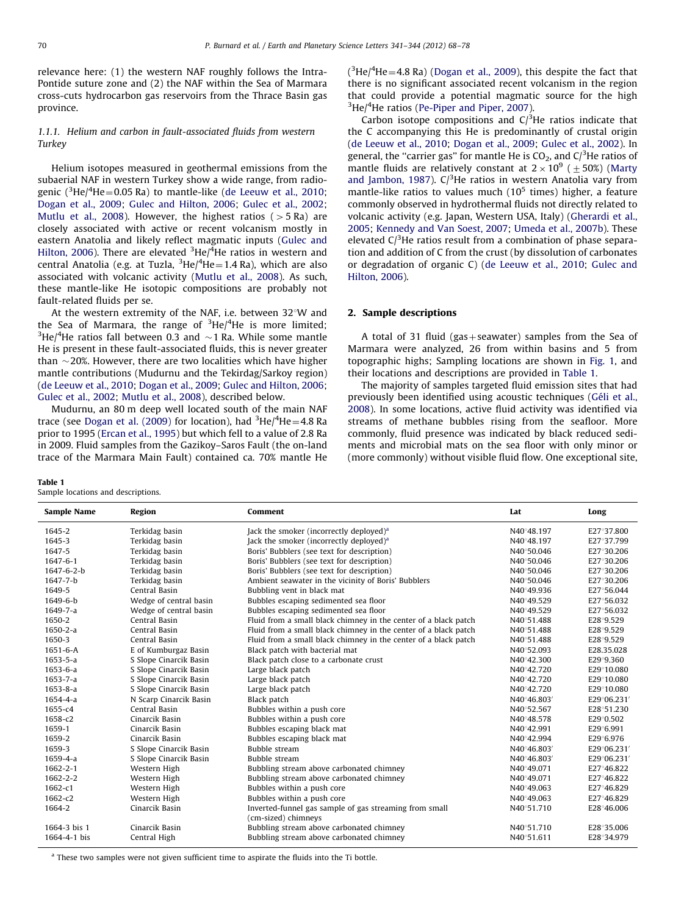relevance here: (1) the western NAF roughly follows the Intra-Pontide suture zone and (2) the NAF within the Sea of Marmara cross-cuts hydrocarbon gas reservoirs from the Thrace Basin gas province.

# 1.1.1. Helium and carbon in fault-associated fluids from western Turkey

Helium isotopes measured in geothermal emissions from the subaerial NAF in western Turkey show a wide range, from radiogenic ( $\rm{^3He/^4He}\!=\!0.05$  Ra) to mantle-like [\(de Leeuw et al., 2010;](#page-9-0) [Dogan et al., 2009;](#page-9-0) [Gulec and Hilton, 2006](#page-9-0); [Gulec et al., 2002;](#page-9-0) [Mutlu et al., 2008\)](#page-10-0). However, the highest ratios ( $>$  5 Ra) are closely associated with active or recent volcanism mostly in eastern Anatolia and likely reflect magmatic inputs [\(Gulec and](#page-9-0) [Hilton, 2006](#page-9-0)). There are elevated <sup>3</sup>He/<sup>4</sup>He ratios in western and central Anatolia (e.g. at Tuzla, <sup>3</sup>He/<sup>4</sup>He=1.4 Ra), which are also associated with volcanic activity [\(Mutlu et al., 2008\)](#page-10-0). As such, these mantle-like He isotopic compositions are probably not fault-related fluids per se.

At the western extremity of the NAF, i.e. between  $32^{\circ}$ W and the Sea of Marmara, the range of  ${}^{3}$ He/ ${}^{4}$ He is more limited;  $^3$ He/ $^4$ He ratios fall between 0.3 and  $\sim$ 1 Ra. While some mantle He is present in these fault-associated fluids, this is never greater than  $\sim$ 20%. However, there are two localities which have higher mantle contributions (Mudurnu and the Tekirdag/Sarkoy region) ([de Leeuw et al., 2010;](#page-9-0) [Dogan et al., 2009;](#page-9-0) [Gulec and Hilton, 2006;](#page-9-0) [Gulec et al., 2002;](#page-9-0) [Mutlu et al., 2008\)](#page-10-0), described below.

Mudurnu, an 80 m deep well located south of the main NAF trace (see [Dogan et al. \(2009\)](#page-9-0) for location), had  $^3{\rm He}/^4{\rm He}\!=\!4.8$  Ra prior to 1995 ([Ercan et al., 1995\)](#page-9-0) but which fell to a value of 2.8 Ra in 2009. Fluid samples from the Gazikoy–Saros Fault (the on-land trace of the Marmara Main Fault) contained ca. 70% mantle He

|--|--|

Sample locations and descriptions.

 $(^{3}$ He/ $^{4}$ He = 4.8 Ra) [\(Dogan et al., 2009\)](#page-9-0), this despite the fact that there is no significant associated recent volcanism in the region that could provide a potential magmatic source for the high <sup>3</sup>He/<sup>4</sup>He ratios [\(Pe-Piper and Piper, 2007\)](#page-10-0).

Carbon isotope compositions and  $C/{}^{3}$ He ratios indicate that the C accompanying this He is predominantly of crustal origin ([de Leeuw et al., 2010;](#page-9-0) [Dogan et al., 2009;](#page-9-0) [Gulec et al., 2002](#page-9-0)). In general, the "carrier gas" for mantle He is  $CO<sub>2</sub>$ , and  $C/{}^{3}$ He ratios of mantle fluids are relatively constant at  $2 \times 10^9$  ( $\pm 50\%$ ) ([Marty](#page-9-0) [and Jambon, 1987](#page-9-0)).  $C/^{3}$ He ratios in western Anatolia vary from mantle-like ratios to values much  $(10^5$  times) higher, a feature commonly observed in hydrothermal fluids not directly related to volcanic activity (e.g. Japan, Western USA, Italy) ([Gherardi et al.,](#page-9-0) [2005;](#page-9-0) [Kennedy and Van Soest, 2007;](#page-9-0) [Umeda et al., 2007b](#page-10-0)). These elevated  $C/{}^{3}$ He ratios result from a combination of phase separation and addition of C from the crust (by dissolution of carbonates or degradation of organic C) ([de Leeuw et al., 2010;](#page-9-0) [Gulec and](#page-9-0) [Hilton, 2006\)](#page-9-0).

## 2. Sample descriptions

A total of 31 fluid (gas + seawater) samples from the Sea of Marmara were analyzed, 26 from within basins and 5 from topographic highs; Sampling locations are shown in [Fig. 1](#page-1-0), and their locations and descriptions are provided in Table 1.

The majority of samples targeted fluid emission sites that had previously been identified using acoustic techniques (Géli et al., [2008\)](#page-9-0). In some locations, active fluid activity was identified via streams of methane bubbles rising from the seafloor. More commonly, fluid presence was indicated by black reduced sediments and microbial mats on the sea floor with only minor or (more commonly) without visible fluid flow. One exceptional site,

| <b>Sample Name</b> | Region                 | Comment                                                                       | Lat         | Long        |
|--------------------|------------------------|-------------------------------------------------------------------------------|-------------|-------------|
| 1645-2             | Terkidag basin         | Jack the smoker (incorrectly deployed) <sup>a</sup>                           | N40°48.197  | E27°37.800  |
| 1645-3             | Terkidag basin         | Jack the smoker (incorrectly deployed) <sup>a</sup>                           | N40°48.197  | E27°37.799  |
| 1647-5             | Terkidag basin         | Boris' Bubblers (see text for description)                                    | N40°50.046  | E27°30.206  |
| 1647-6-1           | Terkidag basin         | Boris' Bubblers (see text for description)                                    | N40°50.046  | E27°30.206  |
| 1647-6-2-b         | Terkidag basin         | Boris' Bubblers (see text for description)                                    | N40°50.046  | E27°30.206  |
| 1647-7-b           | Terkidag basin         | Ambient seawater in the vicinity of Boris' Bubblers                           | N40°50.046  | E27°30.206  |
| 1649-5             | Central Basin          | Bubbling vent in black mat                                                    | N40°49.936  | E27°56.044  |
| 1649-6-b           | Wedge of central basin | Bubbles escaping sedimented sea floor                                         | N40°49.529  | E27°56.032  |
| 1649-7-a           | Wedge of central basin | Bubbles escaping sedimented sea floor                                         | N40°49.529  | E27°56.032  |
| 1650-2             | Central Basin          | Fluid from a small black chimney in the center of a black patch               | N40°51.488  | E28°9.529   |
| $1650 - 2 - a$     | Central Basin          | Fluid from a small black chimney in the center of a black patch               | N40°51.488  | E28°9.529   |
| 1650-3             | Central Basin          | Fluid from a small black chimney in the center of a black patch               | N40°51.488  | E28°9.529   |
| $1651 - 6 - A$     | E of Kumburgaz Basin   | Black patch with bacterial mat                                                | N40°52.093  | E28.35.028  |
| $1653 - 5 - a$     | S Slope Cinarcik Basin | Black patch close to a carbonate crust                                        | N40°42.300  | E29°9.360   |
| $1653 - 6 - a$     | S Slope Cinarcik Basin | Large black patch                                                             | N40°42.720  | E29°10.080  |
| $1653 - 7 - a$     | S Slope Cinarcik Basin | Large black patch                                                             | N40°42.720  | E29°10.080  |
| $1653 - 8 - a$     | S Slope Cinarcik Basin | Large black patch                                                             | N40°42.720  | E29°10.080  |
| $1654 - 4 - a$     | N Scarp Cinarcik Basin | Black patch                                                                   | N40°46.803′ | E29°06.231′ |
| 1655-c4            | Central Basin          | Bubbles within a push core                                                    | N40°52.567  | E28°51.230  |
| 1658-c2            | Cinarcik Basin         | Bubbles within a push core                                                    | N40°48.578  | E29°0.502   |
| 1659-1             | Cinarcik Basin         | Bubbles escaping black mat                                                    | N40°42.991  | E29°6.991   |
| 1659-2             | Cinarcik Basin         | Bubbles escaping black mat                                                    | N40°42.994  | E29°6.976   |
| 1659-3             | S Slope Cinarcik Basin | Bubble stream                                                                 | N40°46.803′ | E29°06.231′ |
| $1659 - 4 - a$     | S Slope Cinarcik Basin | Bubble stream                                                                 | N40°46.803′ | E29°06.231′ |
| 1662-2-1           | Western High           | Bubbling stream above carbonated chimney                                      | N40°49.071  | E27°46.822  |
| 1662-2-2           | Western High           | Bubbling stream above carbonated chimney                                      | N40°49.071  | E27°46.822  |
| 1662-c1            | Western High           | Bubbles within a push core                                                    | N40°49.063  | E27°46.829  |
| 1662-c2            | Western High           | Bubbles within a push core                                                    | N40°49.063  | E27°46.829  |
| 1664-2             | Cinarcik Basin         | Inverted-funnel gas sample of gas streaming from small<br>(cm-sized) chimneys | N40°51.710  | E28°46.006  |
| 1664-3 bis 1       | Cinarcik Basin         | Bubbling stream above carbonated chimney                                      | N40°51.710  | E28°35.006  |
| 1664-4-1 bis       | Central High           | Bubbling stream above carbonated chimney                                      | N40°51.611  | E28°34.979  |

<sup>a</sup> These two samples were not given sufficient time to aspirate the fluids into the Ti bottle.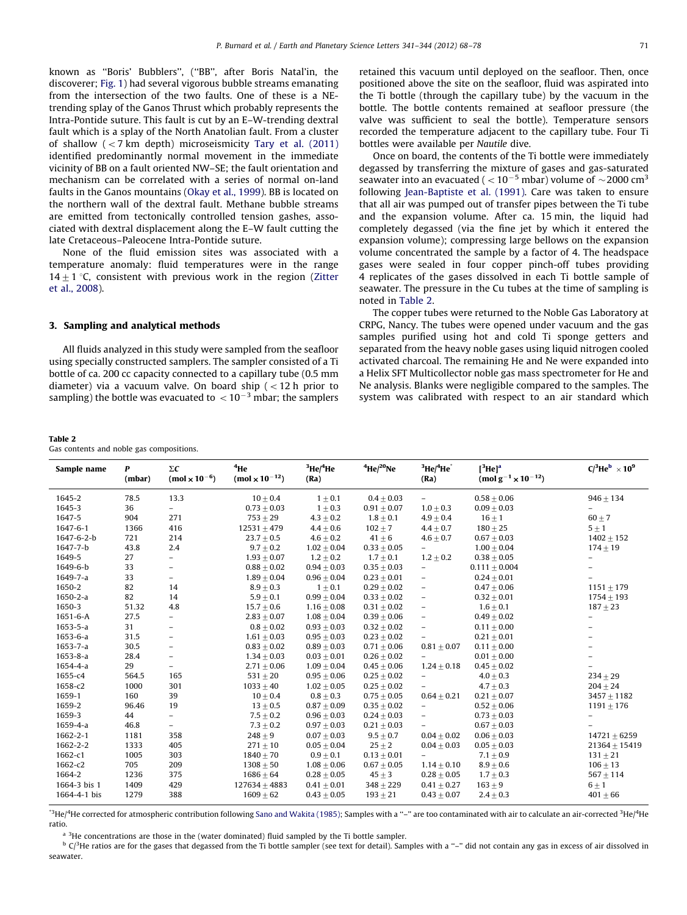<span id="page-3-0"></span>known as ''Boris' Bubblers'', (''BB'', after Boris Natal'in, the discoverer; [Fig. 1](#page-1-0)) had several vigorous bubble streams emanating from the intersection of the two faults. One of these is a NEtrending splay of the Ganos Thrust which probably represents the Intra-Pontide suture. This fault is cut by an E–W-trending dextral fault which is a splay of the North Anatolian fault. From a cluster of shallow  $\left($  < 7 km depth) microseismicity [Tary et al. \(2011\)](#page-10-0) identified predominantly normal movement in the immediate vicinity of BB on a fault oriented NW–SE; the fault orientation and mechanism can be correlated with a series of normal on-land faults in the Ganos mountains ([Okay et al., 1999](#page-10-0)). BB is located on the northern wall of the dextral fault. Methane bubble streams are emitted from tectonically controlled tension gashes, associated with dextral displacement along the E–W fault cutting the late Cretaceous–Paleocene Intra-Pontide suture.

None of the fluid emission sites was associated with a temperature anomaly: fluid temperatures were in the range  $14+1$  °C, consistent with previous work in the region ([Zitter](#page-10-0) [et al., 2008](#page-10-0)).

# 3. Sampling and analytical methods

All fluids analyzed in this study were sampled from the seafloor using specially constructed samplers. The sampler consisted of a Ti bottle of ca. 200 cc capacity connected to a capillary tube (0.5 mm diameter) via a vacuum valve. On board ship  $(< 12$  h prior to sampling) the bottle was evacuated to  $\, <$  10 $^{-3}$  mbar; the samplers

Table 2

Gas contents and noble gas compositions.

retained this vacuum until deployed on the seafloor. Then, once positioned above the site on the seafloor, fluid was aspirated into the Ti bottle (through the capillary tube) by the vacuum in the bottle. The bottle contents remained at seafloor pressure (the valve was sufficient to seal the bottle). Temperature sensors recorded the temperature adjacent to the capillary tube. Four Ti bottles were available per Nautile dive.

Once on board, the contents of the Ti bottle were immediately degassed by transferring the mixture of gases and gas-saturated seawater into an evacuated (  $<$  10 $^{-5}$  mbar) volume of  $\sim$  2000 cm $^{3}$ following [Jean-Baptiste et al. \(1991\).](#page-9-0) Care was taken to ensure that all air was pumped out of transfer pipes between the Ti tube and the expansion volume. After ca. 15 min, the liquid had completely degassed (via the fine jet by which it entered the expansion volume); compressing large bellows on the expansion volume concentrated the sample by a factor of 4. The headspace gases were sealed in four copper pinch-off tubes providing 4 replicates of the gases dissolved in each Ti bottle sample of seawater. The pressure in the Cu tubes at the time of sampling is noted in Table 2.

The copper tubes were returned to the Noble Gas Laboratory at CRPG, Nancy. The tubes were opened under vacuum and the gas samples purified using hot and cold Ti sponge getters and separated from the heavy noble gases using liquid nitrogen cooled activated charcoal. The remaining He and Ne were expanded into a Helix SFT Multicollector noble gas mass spectrometer for He and Ne analysis. Blanks were negligible compared to the samples. The system was calibrated with respect to an air standard which

| Sample name    | P<br>(mbar) | $\Sigma C$<br>$(mod \times 10^{-6})$ | <sup>4</sup> He<br>(mol $\times$ 10 <sup>-12</sup> ) | 3He/4He<br>(Ra) | $4$ He/ $20$ Ne | 3He/4He<br>(Ra)          | $[3$ He $]$ <sup>a</sup><br>(mol g <sup>-1</sup> x 10 <sup>-12</sup> ) | $C/{}^{3}He^{b} \times 10^{9}$ |
|----------------|-------------|--------------------------------------|------------------------------------------------------|-----------------|-----------------|--------------------------|------------------------------------------------------------------------|--------------------------------|
| 1645-2         | 78.5        | 13.3                                 | $10 + 0.4$                                           | $1 \pm 0.1$     | $0.4 + 0.03$    | $\overline{\phantom{a}}$ | $0.58 + 0.06$                                                          | $946 + 134$                    |
| 1645-3         | 36          | $\overline{\phantom{0}}$             | $0.73 + 0.03$                                        | $1 \pm 0.3$     | $0.91 \pm 0.07$ | $1.0 + 0.3$              | $0.09 + 0.03$                                                          | $\qquad \qquad -$              |
| 1647-5         | 904         | 271                                  | $753 + 29$                                           | $4.3 + 0.2$     | $1.8 \pm 0.1$   | $4.9 + 0.4$              | $16 \pm 1$                                                             | $60 \pm 7$                     |
| 1647-6-1       | 1366        | 416                                  | $12531 \pm 479$                                      | $4.4 \pm 0.6$   | $102 + 7$       | $4.4 \pm 0.7$            | $180 + 25$                                                             | $5 \pm 1$                      |
| 1647-6-2-b     | 721         | 214                                  | $23.7 + 0.5$                                         | $4.6 + 0.2$     | $41 \pm 6$      | $4.6 \pm 0.7$            | $0.67 + 0.03$                                                          | $1402 + 152$                   |
| 1647-7-b       | 43.8        | 2.4                                  | $9.7 \pm 0.2$                                        | $1.02 + 0.04$   | $0.33 + 0.05$   |                          | $1.00 \pm 0.04$                                                        | $174 \pm 19$                   |
| 1649-5         | 27          | $\overline{\phantom{0}}$             | $1.93 + 0.07$                                        | $1.2 \pm 0.2$   | $1.7 \pm 0.1$   | $1.2 \pm 0.2$            | $0.38 + 0.05$                                                          |                                |
| 1649-6-b       | 33          | $\overline{\phantom{0}}$             | $0.88 + 0.02$                                        | $0.94 + 0.03$   | $0.35 \pm 0.03$ |                          | $0.111 \pm 0.004$                                                      |                                |
| 1649-7-a       | 33          | $\overline{\phantom{0}}$             | $1.89 + 0.04$                                        | $0.96 \pm 0.04$ | $0.23 \pm 0.01$ | $\overline{\phantom{a}}$ | $0.24 + 0.01$                                                          |                                |
| 1650-2         | 82          | 14                                   | $8.9\pm0.3$                                          | $1 \pm 0.1$     | $0.29 + 0.02$   | $\overline{\phantom{m}}$ | $0.47 + 0.06$                                                          | $1151 \pm 179$                 |
| $1650 - 2 - a$ | 82          | 14                                   | $5.9 \pm 0.1$                                        | $0.99 \pm 0.04$ | $0.33 \pm 0.02$ | $\overline{\phantom{a}}$ | $0.32 \pm 0.01$                                                        | $1754 \pm 193$                 |
| 1650-3         | 51.32       | 4.8                                  | $15.7 + 0.6$                                         | $1.16 + 0.08$   | $0.31 + 0.02$   | $\overline{\phantom{a}}$ | $1.6 + 0.1$                                                            | $187 + 23$                     |
| $1651 - 6 - A$ | 27.5        | $\overline{\phantom{0}}$             | $2.83 \pm 0.07$                                      | $1.08 \pm 0.04$ | $0.39 \pm 0.06$ | $\overline{\phantom{a}}$ | $0.49 \pm 0.02$                                                        |                                |
| $1653 - 5 - a$ | 31          | $\overline{a}$                       | $0.8 + 0.02$                                         | $0.93 + 0.03$   | $0.32 + 0.02$   | $\qquad \qquad -$        | $0.11 + 0.00$                                                          |                                |
| 1653-6-a       | 31.5        | $\overline{a}$                       | $1.61 + 0.03$                                        | $0.95 + 0.03$   | $0.23 + 0.02$   |                          | $0.21 + 0.01$                                                          |                                |
| $1653 - 7 - a$ | 30.5        | $\overline{\phantom{0}}$             | $0.83 + 0.02$                                        | $0.89 \pm 0.03$ | $0.71 \pm 0.06$ | $0.81 + 0.07$            | $0.11 \pm 0.00$                                                        |                                |
| $1653 - 8 - a$ | 28.4        | -                                    | $1.34 + 0.03$                                        | $0.03 + 0.01$   | $0.26 + 0.02$   | $\overline{\phantom{a}}$ | $0.01 + 0.00$                                                          |                                |
| 1654-4-a       | 29          | $\overline{a}$                       | $2.71 \pm 0.06$                                      | $1.09 \pm 0.04$ | $0.45 \pm 0.06$ | $1.24 \pm 0.18$          | $0.45 \pm 0.02$                                                        |                                |
| 1655-c4        | 564.5       | 165                                  | $531 + 20$                                           | $0.95 + 0.06$   | $0.25 + 0.02$   | $\overline{\phantom{a}}$ | $4.0 + 0.3$                                                            | $234 + 29$                     |
| 1658-c2        | 1000        | 301                                  | $1033 \pm 40$                                        | $1.02 \pm 0.05$ | $0.25 \pm 0.02$ |                          | $4.7 \pm 0.3$                                                          | $204 \pm 24$                   |
| 1659-1         | 160         | 39                                   | $10 + 0.4$                                           | $0.8 + 0.3$     | $0.75 \pm 0.05$ | $0.64 + 0.21$            | $0.21 + 0.07$                                                          | $3457 + 1182$                  |
| 1659-2         | 96.46       | 19                                   | $13 \pm 0.5$                                         | $0.87 \pm 0.09$ | $0.35 \pm 0.02$ | $\equiv$                 | $0.52 \pm 0.06$                                                        | $1191 \pm 176$                 |
| 1659-3         | 44          | Ξ.                                   | $7.5 \pm 0.2$                                        | $0.96 \pm 0.03$ | $0.24 \pm 0.03$ | $\overline{\phantom{0}}$ | $0.73 + 0.03$                                                          |                                |
| 1659-4-a       | 46.8        | $\overline{\phantom{0}}$             | $7.3 + 0.2$                                          | $0.97 + 0.03$   | $0.21 + 0.03$   |                          | $0.67 + 0.03$                                                          |                                |
| 1662-2-1       | 1181        | 358                                  | $248 + 9$                                            | $0.07 \pm 0.03$ | $9.5 \pm 0.7$   | $0.04 + 0.02$            | $0.06 \pm 0.03$                                                        | $14721 \pm 6259$               |
| 1662-2-2       | 1333        | 405                                  | $271 + 10$                                           | $0.05 + 0.04$   | $25 + 2$        | $0.04 + 0.03$            | $0.05 + 0.03$                                                          | $21364 + 15419$                |
| 1662-c1        | 1005        | 303                                  | $1840 + 70$                                          | $0.9 \pm 0.1$   | $0.13 \pm 0.01$ |                          | $7.1 \pm 0.9$                                                          | $131 \pm 21$                   |
| 1662-c2        | 705         | 209                                  | $1308 + 50$                                          | $1.08 \pm 0.06$ | $0.67 + 0.05$   | $1.14 + 0.10$            | $8.9\pm0.6$                                                            | $106 \pm 13$                   |
| 1664-2         | 1236        | 375                                  | $1686 + 64$                                          | $0.28 + 0.05$   | $45 \pm 3$      | $0.28 + 0.05$            | $1.7 \pm 0.3$                                                          | $567 + 114$                    |
| 1664-3 bis 1   | 1409        | 429                                  | $127634 + 4883$                                      | $0.41 \pm 0.01$ | $348 + 229$     | $0.41 + 0.27$            | $163 + 9$                                                              | $6 \pm 1$                      |
| 1664-4-1 bis   | 1279        | 388                                  | $1609 + 62$                                          | $0.43 \pm 0.05$ | $193 + 21$      | $0.43 + 0.07$            | $2.4 \pm 0.3$                                                          | $401\pm66$                     |

 $\rm{^3He/^4He}$  corrected for atmospheric contribution following [Sano and Wakita \(1985\);](#page-10-0) Samples with a ''–" are too contaminated with air to calculate an air-corrected  $\rm{^3He/^4He}$ ratio.

 $a<sup>3</sup>$  3He concentrations are those in the (water dominated) fluid sampled by the Ti bottle sampler.

 $^{\text{b}}$  C/<sup>3</sup>He ratios are for the gases that degassed from the Ti bottle sampler (see text for detail). Samples with a "-" did not contain any gas in excess of air dissolved in seawater.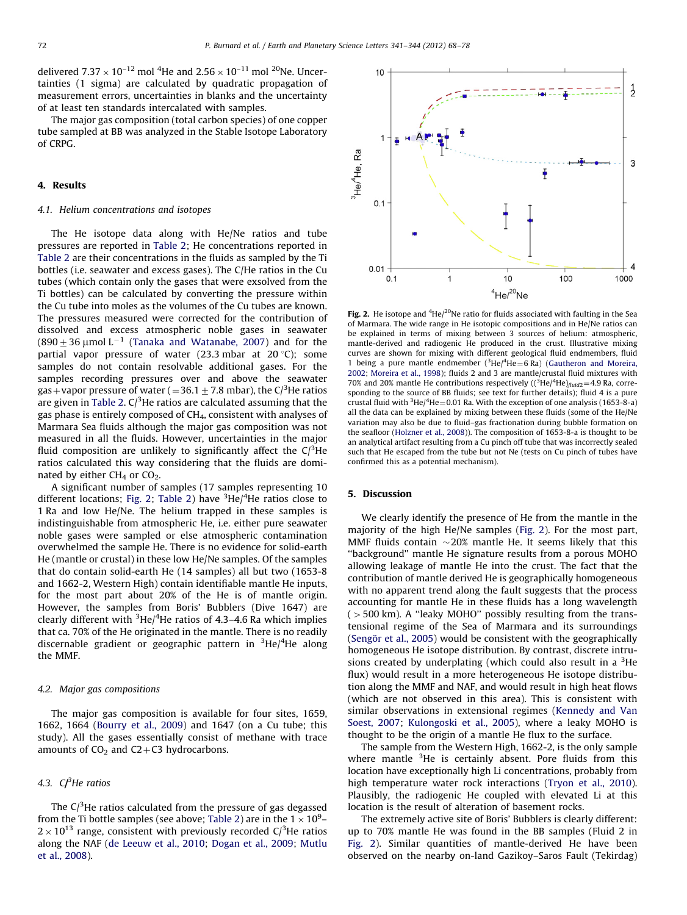delivered 7.37  $\times$  10<sup>-12</sup> mol <sup>4</sup>He and 2.56  $\times$  10<sup>-11</sup> mol <sup>20</sup>Ne. Uncertainties (1 sigma) are calculated by quadratic propagation of measurement errors, uncertainties in blanks and the uncertainty of at least ten standards intercalated with samples.

The major gas composition (total carbon species) of one copper tube sampled at BB was analyzed in the Stable Isotope Laboratory of CRPG.

# 4. Results

## 4.1. Helium concentrations and isotopes

The He isotope data along with He/Ne ratios and tube pressures are reported in [Table 2;](#page-3-0) He concentrations reported in [Table 2](#page-3-0) are their concentrations in the fluids as sampled by the Ti bottles (i.e. seawater and excess gases). The C/He ratios in the Cu tubes (which contain only the gases that were exsolved from the Ti bottles) can be calculated by converting the pressure within the Cu tube into moles as the volumes of the Cu tubes are known. The pressures measured were corrected for the contribution of dissolved and excess atmospheric noble gases in seawater (890 $\pm$  36  $\mu$ mol L $^{-1}$  [\(Tanaka and Watanabe, 2007\)](#page-10-0) and for the partial vapor pressure of water (23.3 mbar at 20 °C); some samples do not contain resolvable additional gases. For the samples recording pressures over and above the seawater gas+vapor pressure of water (=36.1  $\pm$  7.8 mbar), the C/ $^3$ He ratios are given in [Table 2](#page-3-0). C/ $^3$ He ratios are calculated assuming that the gas phase is entirely composed of CH<sub>4</sub>, consistent with analyses of Marmara Sea fluids although the major gas composition was not measured in all the fluids. However, uncertainties in the major fluid composition are unlikely to significantly affect the  $C/{}^{3}$ He ratios calculated this way considering that the fluids are dominated by either  $CH<sub>4</sub>$  or  $CO<sub>2</sub>$ .

A significant number of samples (17 samples representing 10 different locations; Fig. 2; [Table 2](#page-3-0)) have <sup>3</sup>He/<sup>4</sup>He ratios close to 1 Ra and low He/Ne. The helium trapped in these samples is indistinguishable from atmospheric He, i.e. either pure seawater noble gases were sampled or else atmospheric contamination overwhelmed the sample He. There is no evidence for solid-earth He (mantle or crustal) in these low He/Ne samples. Of the samples that do contain solid-earth He (14 samples) all but two (1653-8 and 1662-2, Western High) contain identifiable mantle He inputs, for the most part about 20% of the He is of mantle origin. However, the samples from Boris' Bubblers (Dive 1647) are clearly different with  $^3$ He/ $^4$ He ratios of 4.3–4.6 Ra which implies that ca. 70% of the He originated in the mantle. There is no readily discernable gradient or geographic pattern in <sup>3</sup>He/<sup>4</sup>He along the MMF.

#### 4.2. Major gas compositions

The major gas composition is available for four sites, 1659, 1662, 1664 [\(Bourry et al., 2009\)](#page-9-0) and 1647 (on a Cu tube; this study). All the gases essentially consist of methane with trace amounts of  $CO<sub>2</sub>$  and  $C2+C3$  hydrocarbons.

# 4.3.  $C^3$ He ratios

The  $C/^{3}$ He ratios calculated from the pressure of gas degassed from the Ti bottle samples (see above; [Table 2](#page-3-0)) are in the 1  $\times$  10<sup>9</sup>- $2 \times 10^{13}$  range, consistent with previously recorded C/<sup>3</sup>He ratios along the NAF [\(de Leeuw et al., 2010;](#page-9-0) [Dogan et al., 2009](#page-9-0); [Mutlu](#page-10-0) [et al., 2008\)](#page-10-0).



Fig. 2. He isotope and  ${}^{4}$ He/ ${}^{20}$ Ne ratio for fluids associated with faulting in the Sea of Marmara. The wide range in He isotopic compositions and in He/Ne ratios can be explained in terms of mixing between 3 sources of helium: atmospheric, mantle-derived and radiogenic He produced in the crust. Illustrative mixing curves are shown for mixing with different geological fluid endmembers, fluid 1 being a pure mantle endmember  $(^3$ He/ $^4$ He = 6 Ra) ([Gautheron and Moreira,](#page-9-0) [2002](#page-9-0); [Moreira et al., 1998](#page-9-0)); fluids 2 and 3 are mantle/crustal fluid mixtures with 70% and 20% mantle He contributions respectively ( $(^{3}$ He/ $^{4}$ He) $_{fluid2}$ =4.9 Ra, corresponding to the source of BB fluids; see text for further details); fluid 4 is a pure crustal fluid with  ${}^{3}$ He/ ${}^{4}$ He = 0.01 Ra. With the exception of one analysis (1653-8-a) all the data can be explained by mixing between these fluids (some of the He/Ne variation may also be due to fluid–gas fractionation during bubble formation on the seafloor ([Holzner et al., 2008](#page-9-0))). The composition of 1653-8-a is thought to be an analytical artifact resulting from a Cu pinch off tube that was incorrectly sealed such that He escaped from the tube but not Ne (tests on Cu pinch of tubes have confirmed this as a potential mechanism).

# 5. Discussion

We clearly identify the presence of He from the mantle in the majority of the high He/Ne samples (Fig. 2). For the most part, MMF fluids contain  $\sim$  20% mantle He. It seems likely that this ''background'' mantle He signature results from a porous MOHO allowing leakage of mantle He into the crust. The fact that the contribution of mantle derived He is geographically homogeneous with no apparent trend along the fault suggests that the process accounting for mantle He in these fluids has a long wavelength  $(500 \text{ km})$ . A "leaky MOHO" possibly resulting from the transtensional regime of the Sea of Marmara and its surroundings (Sengör et al., 2005) would be consistent with the geographically homogeneous He isotope distribution. By contrast, discrete intrusions created by underplating (which could also result in a  $3$ He flux) would result in a more heterogeneous He isotope distribution along the MMF and NAF, and would result in high heat flows (which are not observed in this area). This is consistent with similar observations in extensional regimes [\(Kennedy and Van](#page-9-0) [Soest, 2007](#page-9-0); [Kulongoski et al., 2005](#page-9-0)), where a leaky MOHO is thought to be the origin of a mantle He flux to the surface.

The sample from the Western High, 1662-2, is the only sample where mantle  $3$ He is certainly absent. Pore fluids from this location have exceptionally high Li concentrations, probably from high temperature water rock interactions [\(Tryon et al., 2010\)](#page-10-0). Plausibly, the radiogenic He coupled with elevated Li at this location is the result of alteration of basement rocks.

The extremely active site of Boris' Bubblers is clearly different: up to 70% mantle He was found in the BB samples (Fluid 2 in Fig. 2). Similar quantities of mantle-derived He have been observed on the nearby on-land Gazikoy–Saros Fault (Tekirdag)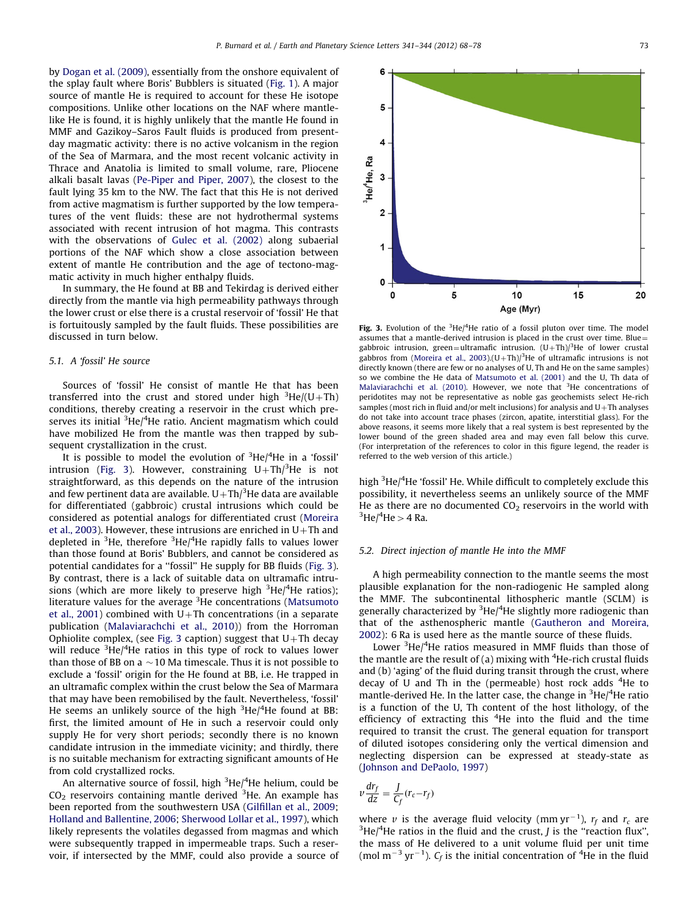by [Dogan et al. \(2009\)](#page-9-0), essentially from the onshore equivalent of the splay fault where Boris' Bubblers is situated [\(Fig. 1](#page-1-0)). A major source of mantle He is required to account for these He isotope compositions. Unlike other locations on the NAF where mantlelike He is found, it is highly unlikely that the mantle He found in MMF and Gazikoy–Saros Fault fluids is produced from presentday magmatic activity: there is no active volcanism in the region of the Sea of Marmara, and the most recent volcanic activity in Thrace and Anatolia is limited to small volume, rare, Pliocene alkali basalt lavas ([Pe-Piper and Piper, 2007](#page-10-0)), the closest to the fault lying 35 km to the NW. The fact that this He is not derived from active magmatism is further supported by the low temperatures of the vent fluids: these are not hydrothermal systems associated with recent intrusion of hot magma. This contrasts with the observations of [Gulec et al. \(2002\)](#page-9-0) along subaerial portions of the NAF which show a close association between extent of mantle He contribution and the age of tectono-magmatic activity in much higher enthalpy fluids.

In summary, the He found at BB and Tekirdag is derived either directly from the mantle via high permeability pathways through the lower crust or else there is a crustal reservoir of 'fossil' He that is fortuitously sampled by the fault fluids. These possibilities are discussed in turn below.

# 5.1. A 'fossil' He source

Sources of 'fossil' He consist of mantle He that has been transferred into the crust and stored under high  ${}^{3}$ He/(U+Th) conditions, thereby creating a reservoir in the crust which preserves its initial <sup>3</sup>He/<sup>4</sup>He ratio. Ancient magmatism which could have mobilized He from the mantle was then trapped by subsequent crystallization in the crust.

It is possible to model the evolution of  $3$ He/ $4$ He in a 'fossil' intrusion (Fig. 3). However, constraining  $U+Th/{}^{3}$ He is not straightforward, as this depends on the nature of the intrusion and few pertinent data are available. U $+{\rm Th/}^3$ He data are available for differentiated (gabbroic) crustal intrusions which could be considered as potential analogs for differentiated crust [\(Moreira](#page-9-0) [et al., 2003](#page-9-0)). However, these intrusions are enriched in  $U+Th$  and depleted in <sup>3</sup>He, therefore <sup>3</sup>He/<sup>4</sup>He rapidly falls to values lower than those found at Boris' Bubblers, and cannot be considered as potential candidates for a ''fossil'' He supply for BB fluids (Fig. 3). By contrast, there is a lack of suitable data on ultramafic intrusions (which are more likely to preserve high <sup>3</sup>He/<sup>4</sup>He ratios); literature values for the average <sup>3</sup>He concentrations ([Matsumoto](#page-9-0) [et al., 2001\)](#page-9-0) combined with U+Th concentrations (in a separate publication ([Malaviarachchi et al., 2010](#page-9-0))) from the Horroman Ophiolite complex, (see Fig. 3 caption) suggest that  $U+Th$  decay will reduce <sup>3</sup>He/<sup>4</sup>He ratios in this type of rock to values lower than those of BB on a  $\sim$  10 Ma timescale. Thus it is not possible to exclude a 'fossil' origin for the He found at BB, i.e. He trapped in an ultramafic complex within the crust below the Sea of Marmara that may have been remobilised by the fault. Nevertheless, 'fossil' He seems an unlikely source of the high  $3$ He/ $4$ He found at BB: first, the limited amount of He in such a reservoir could only supply He for very short periods; secondly there is no known candidate intrusion in the immediate vicinity; and thirdly, there is no suitable mechanism for extracting significant amounts of He from cold crystallized rocks.

An alternative source of fossil, high <sup>3</sup>He/<sup>4</sup>He helium, could be  $CO<sub>2</sub>$  reservoirs containing mantle derived  $3$ He. An example has been reported from the southwestern USA [\(Gilfillan et al., 2009;](#page-9-0) [Holland and Ballentine, 2006;](#page-9-0) [Sherwood Lollar et al., 1997](#page-10-0)), which likely represents the volatiles degassed from magmas and which were subsequently trapped in impermeable traps. Such a reservoir, if intersected by the MMF, could also provide a source of



Fig. 3. Evolution of the  ${}^{3}$ He/ ${}^{4}$ He ratio of a fossil pluton over time. The model assumes that a mantle-derived intrusion is placed in the crust over time. Blue= gabbroic intrusion, green=ultramafic intrusion.  $(U+Th)/<sup>3</sup>$ He of lower crustal gabbros from [\(Moreira et al., 2003](#page-9-0)). $(U+Th)/<sup>3</sup>$ He of ultramafic intrusions is not directly known (there are few or no analyses of U, Th and He on the same samples) so we combine the He data of [Matsumoto et al. \(2001\)](#page-9-0) and the U, Th data of [Malaviarachchi et al. \(2010\)](#page-9-0). However, we note that  $3$ He concentrations of peridotites may not be representative as noble gas geochemists select He-rich samples (most rich in fluid and/or melt inclusions) for analysis and  $U+Th$  analyses do not take into account trace phases (zircon, apatite, interstitial glass). For the above reasons, it seems more likely that a real system is best represented by the lower bound of the green shaded area and may even fall below this curve. (For interpretation of the references to color in this figure legend, the reader is referred to the web version of this article.)

high <sup>3</sup>He/<sup>4</sup>He 'fossil' He. While difficult to completely exclude this possibility, it nevertheless seems an unlikely source of the MMF He as there are no documented  $CO<sub>2</sub>$  reservoirs in the world with  $He/{}^{4}He$  > 4 Ra.

#### 5.2. Direct injection of mantle He into the MMF

A high permeability connection to the mantle seems the most plausible explanation for the non-radiogenic He sampled along the MMF. The subcontinental lithospheric mantle (SCLM) is generally characterized by <sup>3</sup>He/<sup>4</sup>He slightly more radiogenic than that of the asthenospheric mantle ([Gautheron and Moreira,](#page-9-0) [2002\)](#page-9-0): 6 Ra is used here as the mantle source of these fluids.

Lower  $3$ He/ $4$ He ratios measured in MMF fluids than those of the mantle are the result of (a) mixing with  $4$ He-rich crustal fluids and (b) 'aging' of the fluid during transit through the crust, where decay of U and Th in the (permeable) host rock adds <sup>4</sup>He to mantle-derived He. In the latter case, the change in <sup>3</sup>He/<sup>4</sup>He ratio is a function of the U, Th content of the host lithology, of the efficiency of extracting this <sup>4</sup>He into the fluid and the time required to transit the crust. The general equation for transport of diluted isotopes considering only the vertical dimension and neglecting dispersion can be expressed at steady-state as ([Johnson and DePaolo, 1997](#page-9-0))

$$
v\frac{dr_f}{dz} = \frac{J}{C_f}(r_c - r_f)
$$

where v is the average fluid velocity (mm  $yr^{-1}$ ),  $r_f$  and  $r_c$  are  $3H\omega$ /4He ratios in the fluid and the crust *I* is the "reaction flux" He $/4$ He ratios in the fluid and the crust, *J* is the "reaction flux", the mass of He delivered to a unit volume fluid per unit time (mol m<sup>-3</sup> yr<sup>-1</sup>).  $C_f$  is the initial concentration of <sup>4</sup>He in the fluid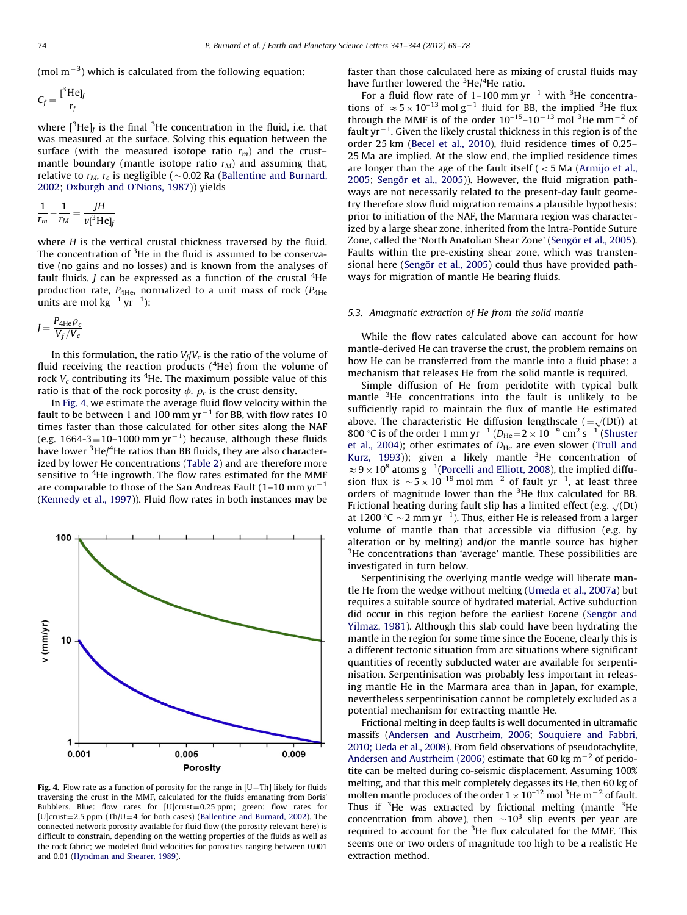(mol m $^{-3}$ ) which is calculated from the following equation:

$$
C_f = \frac{{}^{[3}\text{He}]_f}{r_f}
$$

where  $[{}^{3}$ He]<sub>f</sub> is the final  ${}^{3}$ He concentration in the fluid, i.e. that was measured at the surface. Solving this equation between the surface (with the measured isotope ratio  $r_m$ ) and the crust– mantle boundary (mantle isotope ratio  $r_M$ ) and assuming that, relative to  $r_M$ ,  $r_c$  is negligible ( $\sim$ 0.02 Ra [\(Ballentine and Burnard,](#page-9-0) [2002;](#page-9-0) [Oxburgh and O'Nions, 1987](#page-10-0))) yields

$$
\frac{1}{r_m} - \frac{1}{r_M} = \frac{JH}{\nu[^3 \text{He}]_f}
$$

where H is the vertical crustal thickness traversed by the fluid. The concentration of  $3$ He in the fluid is assumed to be conservative (no gains and no losses) and is known from the analyses of fault fluids. *J* can be expressed as a function of the crustal  ${}^{4}$ He production rate,  $P_{4\text{He}}$ , normalized to a unit mass of rock ( $P_{4\text{He}}$ units are mol kg $^{-1}$  yr $^{-1}$ ):

$$
J = \frac{P_{4\text{He}}\rho_c}{V_f/V_c}
$$

In this formulation, the ratio  $V_f/V_c$  is the ratio of the volume of fluid receiving the reaction products (<sup>4</sup>He) from the volume of rock  $V_c$  contributing its <sup>4</sup>He. The maximum possible value of this ratio is that of the rock porosity  $\phi$ .  $\rho_c$  is the crust density.

In Fig. 4, we estimate the average fluid flow velocity within the fault to be between 1 and 100 mm yr $^{-1}$  for BB, with flow rates 10 times faster than those calculated for other sites along the NAF (e.g. 1664-3=10–1000 mm yr $^{-1}$ ) because, although these fluids have lower <sup>3</sup>He/<sup>4</sup>He ratios than BB fluids, they are also characterized by lower He concentrations [\(Table 2\)](#page-3-0) and are therefore more sensitive to <sup>4</sup>He ingrowth. The flow rates estimated for the MMF are comparable to those of the San Andreas Fault (1–10 mm yr $^{\rm -1}$ ([Kennedy et al., 1997](#page-9-0))). Fluid flow rates in both instances may be



Fig. 4. Flow rate as a function of porosity for the range in  $[U+Th]$  likely for fluids traversing the crust in the MMF, calculated for the fluids emanating from Boris' Bubblers. Blue: flow rates for [U]crust=0.25 ppm; green: flow rates for [U]crust=2.5 ppm (Th/U=4 for both cases) ([Ballentine and Burnard, 2002\)](#page-9-0). The connected network porosity available for fluid flow (the porosity relevant here) is difficult to constrain, depending on the wetting properties of the fluids as well as the rock fabric; we modeled fluid velocities for porosities ranging between 0.001 and 0.01 [\(Hyndman and Shearer, 1989\)](#page-9-0).

faster than those calculated here as mixing of crustal fluids may have further lowered the  $3He/4He$  ratio.

For a fluid flow rate of 1–100 mm  $yr^{-1}$  with <sup>3</sup>He concentrations of  $\approx 5 \times 10^{-13}$  mol g<sup>-1</sup> fluid for BB, the implied <sup>3</sup>He flux through the MMF is of the order  $10^{-15}$ – $10^{-13}$  mol <sup>3</sup>He mm<sup>-2</sup> of fault  $yr^{-1}$ . Given the likely crustal thickness in this region is of the order 25 km ([Becel et al., 2010](#page-9-0)), fluid residence times of 0.25– 25 Ma are implied. At the slow end, the implied residence times are longer than the age of the fault itself  $($  < 5 Ma [\(Armijo et al.,](#page-8-0) [2005;](#page-8-0) Sengör et al., 2005)). However, the fluid migration pathways are not necessarily related to the present-day fault geometry therefore slow fluid migration remains a plausible hypothesis: prior to initiation of the NAF, the Marmara region was characterized by a large shear zone, inherited from the Intra-Pontide Suture Zone, called the 'North Anatolian Shear Zone' [\(Seng](#page-10-0)ö[r et al., 2005](#page-10-0)). Faults within the pre-existing shear zone, which was transtensional here (Sengör et al., 2005) could thus have provided pathways for migration of mantle He bearing fluids.

## 5.3. Amagmatic extraction of He from the solid mantle

While the flow rates calculated above can account for how mantle-derived He can traverse the crust, the problem remains on how He can be transferred from the mantle into a fluid phase: a mechanism that releases He from the solid mantle is required.

Simple diffusion of He from peridotite with typical bulk mantle <sup>3</sup>He concentrations into the fault is unlikely to be sufficiently rapid to maintain the flux of mantle He estimated above. The characteristic He diffusion lengthscale ( $=\sqrt{(Dt)}$ ) at 800 °C is of the order 1 mm  $yr^{-1}$  ( $D_{He} = 2 \times 10^{-9}$  cm<sup>2</sup> s<sup>-1</sup> ([Shuster](#page-10-0) [et al., 2004\)](#page-10-0); other estimates of  $D_{\text{He}}$  are even slower [\(Trull and](#page-10-0) [Kurz, 1993\)](#page-10-0)); given a likely mantle  $3$ He concentration of  $\approx$  9  $\times$  10<sup>8</sup> atoms g<sup>-1</sup>([Porcelli and Elliott, 2008](#page-10-0)), the implied diffusion flux is  $\sim 5 \times 10^{-19}$  mol mm<sup>-2</sup> of fault yr<sup>-1</sup>, at least three orders of magnitude lower than the <sup>3</sup>He flux calculated for BB. Frictional heating during fault slip has a limited effect (e.g.  $\sqrt{(Dt)}$ ) at 1200 °C  $\sim$  2 mm yr<sup>-1</sup>). Thus, either He is released from a larger volume of mantle than that accessible via diffusion (e.g. by alteration or by melting) and/or the mantle source has higher <sup>3</sup>He concentrations than 'average' mantle. These possibilities are investigated in turn below.

Serpentinising the overlying mantle wedge will liberate mantle He from the wedge without melting [\(Umeda et al., 2007a](#page-10-0)) but requires a suitable source of hydrated material. Active subduction did occur in this region before the earliest Eocene (Sengör and [Yilmaz, 1981](#page-10-0)). Although this slab could have been hydrating the mantle in the region for some time since the Eocene, clearly this is a different tectonic situation from arc situations where significant quantities of recently subducted water are available for serpentinisation. Serpentinisation was probably less important in releasing mantle He in the Marmara area than in Japan, for example, nevertheless serpentinisation cannot be completely excluded as a potential mechanism for extracting mantle He.

Frictional melting in deep faults is well documented in ultramafic massifs [\(Andersen and Austrheim, 2006](#page-8-0); [Souquiere and Fabbri,](#page-10-0) [2010; Ueda et al., 2008\)](#page-10-0). From field observations of pseudotachylite, [Andersen and Austrheim \(2006\)](#page-8-0) estimate that 60 kg m<sup> $-2$ </sup> of peridotite can be melted during co-seismic displacement. Assuming 100% melting, and that this melt completely degasses its He, then 60 kg of molten mantle produces of the order  $1 \times 10^{-12}$  mol <sup>3</sup>He m<sup>-2</sup> of fault. Thus if  $3$ He was extracted by frictional melting (mantle  $3$ He concentration from above), then  $\sim 10^3$  slip events per year are required to account for the  $3$ He flux calculated for the MMF. This seems one or two orders of magnitude too high to be a realistic He extraction method.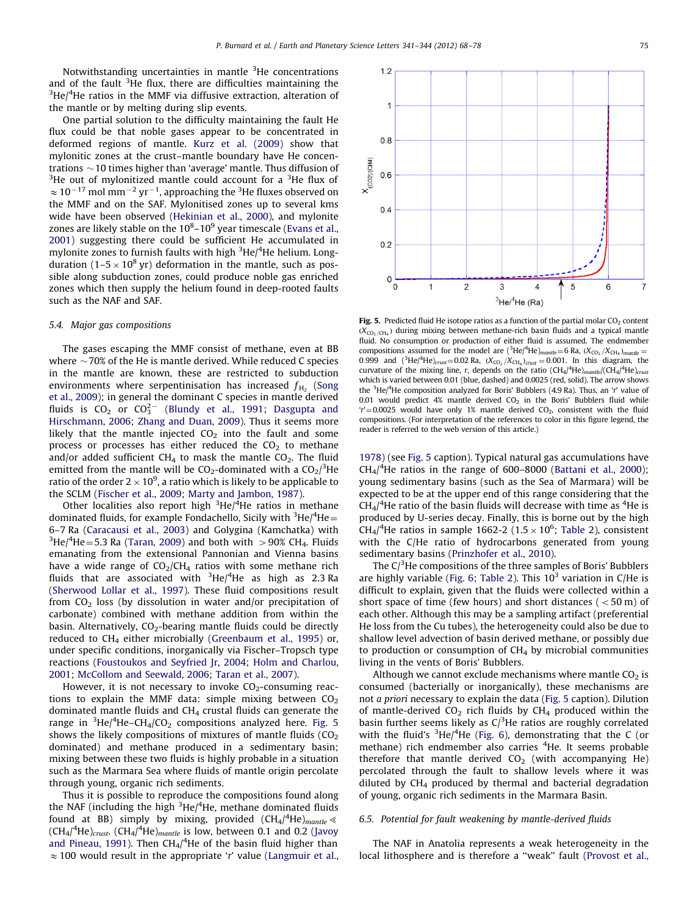Notwithstanding uncertainties in mantle <sup>3</sup>He concentrations and of the fault  $3$ He flux, there are difficulties maintaining the  $3$ He/ $4$ He ratios in the MMF via diffusive extraction, alteration of the mantle or by melting during slip events.

One partial solution to the difficulty maintaining the fault He flux could be that noble gases appear to be concentrated in deformed regions of mantle. [Kurz et al. \(2009\)](#page-9-0) show that mylonitic zones at the crust–mantle boundary have He concentrations  $\sim$  10 times higher than 'average' mantle. Thus diffusion of  $3$ He out of mylonitized mantle could account for a  $3$ He flux of  $\approx 10^{-17}$  mol mm<sup>-2</sup> yr<sup>-1</sup>, approaching the <sup>3</sup>He fluxes observed on the MMF and on the SAF. Mylonitised zones up to several kms wide have been observed [\(Hekinian et al., 2000\)](#page-9-0), and mylonite zones are likely stable on the 10 $^{8}$ –10 $^{9}$  year timescale ([Evans et al.,](#page-9-0) [2001\)](#page-9-0) suggesting there could be sufficient He accumulated in mylonite zones to furnish faults with high <sup>3</sup>He/<sup>4</sup>He helium. Longduration (1–5  $\times$  10<sup>8</sup> yr) deformation in the mantle, such as possible along subduction zones, could produce noble gas enriched zones which then supply the helium found in deep-rooted faults such as the NAF and SAF.

# 5.4. Major gas compositions

The gases escaping the MMF consist of methane, even at BB where  $\sim$  70% of the He is mantle derived. While reduced C species in the mantle are known, these are restricted to subduction environments where serpentinisation has increased  $f_{\rm H_2}$  [\(Song](#page-10-0) [et al., 2009\)](#page-10-0); in general the dominant C species in mantle derived fluids is  $CO_2$  or  $CO_3^{2-}$  [\(Blundy et al., 1991;](#page-9-0) [Dasgupta and](#page-9-0) [Hirschmann, 2006](#page-9-0); [Zhang and Duan, 2009](#page-10-0)). Thus it seems more likely that the mantle injected  $CO<sub>2</sub>$  into the fault and some process or processes has either reduced the  $CO<sub>2</sub>$  to methane and/or added sufficient  $CH_4$  to mask the mantle  $CO_2$ . The fluid emitted from the mantle will be CO<sub>2</sub>-dominated with a CO<sub>2</sub>/<sup>3</sup>He ratio of the order 2  $\times$  10<sup>9</sup>, a ratio which is likely to be applicable to the SCLM ([Fischer et al., 2009](#page-9-0); [Marty and Jambon, 1987](#page-9-0)).

Other localities also report high <sup>3</sup>He/<sup>4</sup>He ratios in methane dominated fluids, for example Fondachello, Sicily with  $3$ He/ $4$ He $=$ 6–7 Ra [\(Caracausi et al., 2003\)](#page-9-0) and Golygina (Kamchatka) with  $^3$ He/ $^4$ He=5.3 Ra [\(Taran, 2009](#page-10-0)) and both with  $>$  90% CH<sub>4</sub>. Fluids emanating from the extensional Pannonian and Vienna basins have a wide range of  $CO<sub>2</sub>/CH<sub>4</sub>$  ratios with some methane rich fluids that are associated with  $3$ He/ $4$ He as high as 2.3 Ra ([Sherwood Lollar et al., 1997](#page-10-0)). These fluid compositions result from  $CO<sub>2</sub>$  loss (by dissolution in water and/or precipitation of carbonate) combined with methane addition from within the basin. Alternatively,  $CO<sub>2</sub>$ -bearing mantle fluids could be directly reduced to  $CH_4$  either microbially ([Greenbaum et al., 1995\)](#page-9-0) or, under specific conditions, inorganically via Fischer–Tropsch type reactions [\(Foustoukos and Seyfried Jr, 2004](#page-9-0); [Holm and Charlou,](#page-9-0) [2001;](#page-9-0) [McCollom and Seewald, 2006](#page-9-0); [Taran et al., 2007](#page-10-0)).

However, it is not necessary to invoke  $CO<sub>2</sub>$ -consuming reactions to explain the MMF data: simple mixing between  $CO<sub>2</sub>$ dominated mantle fluids and  $CH<sub>4</sub>$  crustal fluids can generate the range in  ${}^{3}$ He/ ${}^{4}$ He–CH<sub>4</sub>/CO<sub>2</sub> compositions analyzed here. Fig. 5 shows the likely compositions of mixtures of mantle fluids  $(CO<sub>2</sub>)$ dominated) and methane produced in a sedimentary basin; mixing between these two fluids is highly probable in a situation such as the Marmara Sea where fluids of mantle origin percolate through young, organic rich sediments.

Thus it is possible to reproduce the compositions found along the NAF (including the high  $3$ He/ $4$ He, methane dominated fluids found at BB) simply by mixing, provided  $(CH_4/{}^4He)_{mantle}$ (CH<sub>4</sub>/<sup>4</sup>He)<sub>crust</sub>. (CH<sub>4</sub>/<sup>4</sup>He)<sub>mantle</sub> is low, between 0.1 and 0.2 ([Javoy](#page-9-0) [and Pineau, 1991](#page-9-0)). Then  $CH_4$ /<sup>4</sup>He of the basin fluid higher than  $\approx$  100 would result in the appropriate 'r' value ([Langmuir et al.,](#page-9-0)

 $\circ$  $\mathbf{0}$ 5  $\mathbf{1}$  $\overline{2}$ 3  $\overline{4}$ 6  $\overline{7}$  $3$ He/ $4$ He (Ra) Fig. 5. Predicted fluid He isotope ratios as a function of the partial molar  $CO<sub>2</sub>$  content  $(X_{CO_2/CH_4})$  during mixing between methane-rich basin fluids and a typical mantle fluid. No consumption or production of either fluid is assumed. The endmember compositions assumed for the model are  $(^{3}He/^{4}He)_{mantle}=6$  Ra,  $(X_{CO_2}/X_{CH_4})_{mantle}=$ 0.999 and  $({}^{3}$ He/ $^{4}$ He)<sub>crust</sub> = 0.02 Ra,  $(X_{CO_2}/X_{CH_4})_{crust}$  = 0.001. In this diagram, the curvature of the mixing line, r, depends on the ratio  $(CH_4/{}^4He)_{mantle}/(CH_4/{}^4He)_{crus}$ which is varied between 0.01 (blue, dashed) and 0.0025 (red, solid). The arrow shows the <sup>3</sup>He/<sup>4</sup>He composition analyzed for Boris' Bubblers (4.9 Ra). Thus, an 'r' value of 0.01 would predict 4% mantle derived  $CO<sub>2</sub>$  in the Boris' Bubblers fluid while  $r' = 0.0025$  would have only 1% mantle derived CO<sub>2</sub>, consistent with the fluid compositions. (For interpretation of the references to color in this figure legend, the reader is referred to the web version of this article.)

[1978\)](#page-9-0) (see Fig. 5 caption). Typical natural gas accumulations have  $CH<sub>4</sub>/<sup>4</sup>$ He ratios in the range of 600-8000 [\(Battani et al., 2000\)](#page-9-0); young sedimentary basins (such as the Sea of Marmara) will be expected to be at the upper end of this range considering that the  $CH_4$ /<sup>4</sup>He ratio of the basin fluids will decrease with time as <sup>4</sup>He is produced by U-series decay. Finally, this is borne out by the high CH<sub>4</sub>/<sup>4</sup>He ratios in sample 1662-2 (1.5  $\times$  10<sup>6</sup>; [Table 2](#page-3-0)), consistent with the C/He ratio of hydrocarbons generated from young sedimentary basins [\(Prinzhofer et al., 2010](#page-10-0)).

The  $C/3$ He compositions of the three samples of Boris' Bubblers are highly variable ([Fig. 6;](#page-8-0) [Table 2\)](#page-3-0). This  $10^3$  variation in C/He is difficult to explain, given that the fluids were collected within a short space of time (few hours) and short distances ( $<$  50 m) of each other. Although this may be a sampling artifact (preferential He loss from the Cu tubes), the heterogeneity could also be due to shallow level advection of basin derived methane, or possibly due to production or consumption of  $CH<sub>4</sub>$  by microbial communities living in the vents of Boris' Bubblers.

Although we cannot exclude mechanisms where mantle  $CO<sub>2</sub>$  is consumed (bacterially or inorganically), these mechanisms are not a priori necessary to explain the data (Fig. 5 caption). Dilution of mantle-derived  $CO<sub>2</sub>$  rich fluids by CH<sub>4</sub> produced within the basin further seems likely as  $C/^{3}$ He ratios are roughly correlated with the fluid's  ${}^{3}$ He/<sup>4</sup>He [\(Fig. 6](#page-8-0)), demonstrating that the C (or methane) rich endmember also carries <sup>4</sup>He. It seems probable therefore that mantle derived  $CO<sub>2</sub>$  (with accompanying He) percolated through the fault to shallow levels where it was diluted by CH4 produced by thermal and bacterial degradation of young, organic rich sediments in the Marmara Basin.

#### 6.5. Potential for fault weakening by mantle-derived fluids

The NAF in Anatolia represents a weak heterogeneity in the local lithosphere and is therefore a "weak" fault ([Provost et al.,](#page-10-0)

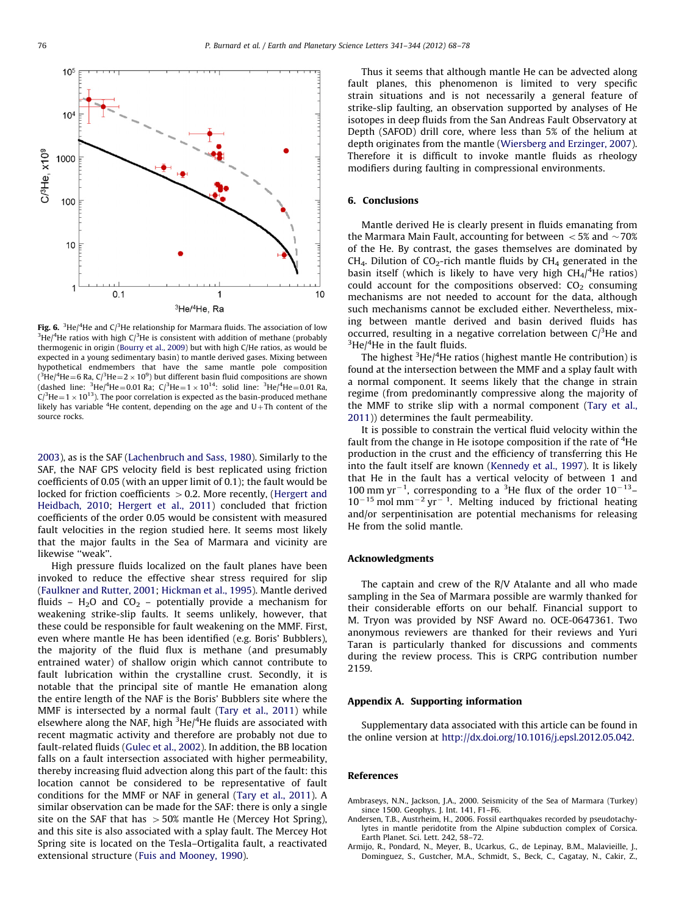<span id="page-8-0"></span>

**Fig. 6.**  $^3$ He/ $^4$ He and C/ $^3$ He relationship for Marmara fluids. The association of low  $^3$ He/ $^4$ He ratios with high C/ $^3$ He is consistent with addition of methane (probably thermogenic in origin ([Bourry et al., 2009\)](#page-9-0) but with high C/He ratios, as would be expected in a young sedimentary basin) to mantle derived gases. Mixing between hypothetical endmembers that have the same mantle pole composition ( $3$ He/ $4$ He=6 Ra, C/ $3$ He=2  $\times$  10 $^9$ ) but different basin fluid compositions are shown (dashed line: <sup>3</sup>He/<sup>4</sup>He=0.01 Ra; C/<sup>3</sup>He=1  $\times$  10<sup>14</sup>: solid line: <sup>3</sup>He/<sup>4</sup>He=0.01 Ra, C/<sup>3</sup>He = 1  $\times$  10<sup>13</sup>). The poor correlation is expected as the basin-produced methane likely has variable  ${}^{4}$ He content, depending on the age and U $+{\rm Th}$  content of the source rocks.

[2003\)](#page-10-0), as is the SAF [\(Lachenbruch and Sass, 1980\)](#page-9-0). Similarly to the SAF, the NAF GPS velocity field is best replicated using friction coefficients of 0.05 (with an upper limit of 0.1); the fault would be locked for friction coefficients  $> 0.2$ . More recently, ([Hergert and](#page-9-0) [Heidbach, 2010;](#page-9-0) [Hergert et al., 2011\)](#page-9-0) concluded that friction coefficients of the order 0.05 would be consistent with measured fault velocities in the region studied here. It seems most likely that the major faults in the Sea of Marmara and vicinity are likewise "weak".

High pressure fluids localized on the fault planes have been invoked to reduce the effective shear stress required for slip ([Faulkner and Rutter, 2001](#page-9-0); [Hickman et al., 1995](#page-9-0)). Mantle derived fluids –  $H_2O$  and  $CO_2$  – potentially provide a mechanism for weakening strike-slip faults. It seems unlikely, however, that these could be responsible for fault weakening on the MMF. First, even where mantle He has been identified (e.g. Boris' Bubblers), the majority of the fluid flux is methane (and presumably entrained water) of shallow origin which cannot contribute to fault lubrication within the crystalline crust. Secondly, it is notable that the principal site of mantle He emanation along the entire length of the NAF is the Boris' Bubblers site where the MMF is intersected by a normal fault ([Tary et al., 2011\)](#page-10-0) while elsewhere along the NAF, high <sup>3</sup>He/<sup>4</sup>He fluids are associated with recent magmatic activity and therefore are probably not due to fault-related fluids ([Gulec et al., 2002\)](#page-9-0). In addition, the BB location falls on a fault intersection associated with higher permeability, thereby increasing fluid advection along this part of the fault: this location cannot be considered to be representative of fault conditions for the MMF or NAF in general ([Tary et al., 2011\)](#page-10-0). A similar observation can be made for the SAF: there is only a single site on the SAF that has  $>50\%$  mantle He (Mercey Hot Spring), and this site is also associated with a splay fault. The Mercey Hot Spring site is located on the Tesla–Ortigalita fault, a reactivated extensional structure [\(Fuis and Mooney, 1990](#page-9-0)).

Thus it seems that although mantle He can be advected along fault planes, this phenomenon is limited to very specific strain situations and is not necessarily a general feature of strike-slip faulting, an observation supported by analyses of He isotopes in deep fluids from the San Andreas Fault Observatory at Depth (SAFOD) drill core, where less than 5% of the helium at depth originates from the mantle [\(Wiersberg and Erzinger, 2007\)](#page-10-0). Therefore it is difficult to invoke mantle fluids as rheology modifiers during faulting in compressional environments.

## 6. Conclusions

Mantle derived He is clearly present in fluids emanating from the Marmara Main Fault, accounting for between  $\langle 5\%$  and  $\sim$  70% of the He. By contrast, the gases themselves are dominated by  $CH<sub>4</sub>$ . Dilution of CO<sub>2</sub>-rich mantle fluids by CH<sub>4</sub> generated in the basin itself (which is likely to have very high  $CH_4$ <sup>4</sup>He ratios) could account for the compositions observed:  $CO<sub>2</sub>$  consuming mechanisms are not needed to account for the data, although such mechanisms cannot be excluded either. Nevertheless, mixing between mantle derived and basin derived fluids has occurred, resulting in a negative correlation between  $C/3$ He and  $3$ He/ $4$ He in the fault fluids.

The highest <sup>3</sup>He/<sup>4</sup>He ratios (highest mantle He contribution) is found at the intersection between the MMF and a splay fault with a normal component. It seems likely that the change in strain regime (from predominantly compressive along the majority of the MMF to strike slip with a normal component ([Tary et al.,](#page-10-0) [2011\)](#page-10-0)) determines the fault permeability.

It is possible to constrain the vertical fluid velocity within the fault from the change in He isotope composition if the rate of <sup>4</sup>He production in the crust and the efficiency of transferring this He into the fault itself are known ([Kennedy et al., 1997\)](#page-9-0). It is likely that He in the fault has a vertical velocity of between 1 and 100 mm yr<sup>-1</sup>, corresponding to a <sup>3</sup>He flux of the order  $10^{-13}$ - $10^{-15}$  mol mm<sup>-2</sup> yr<sup>-1</sup>. Melting induced by frictional heating and/or serpentinisation are potential mechanisms for releasing He from the solid mantle.

#### Acknowledgments

The captain and crew of the R/V Atalante and all who made sampling in the Sea of Marmara possible are warmly thanked for their considerable efforts on our behalf. Financial support to M. Tryon was provided by NSF Award no. OCE-0647361. Two anonymous reviewers are thanked for their reviews and Yuri Taran is particularly thanked for discussions and comments during the review process. This is CRPG contribution number 2159.

#### Appendix A. Supporting information

Supplementary data associated with this article can be found in the online version at [http://dx.doi.org/10.1016/j.epsl.2012.05.042](dx.doi.org/10.1016/j.epsl.2012.05.042).

# References

Ambraseys, N.N., Jackson, J.A., 2000. Seismicity of the Sea of Marmara (Turkey) since 1500. Geophys. J. Int. 141, F1–F6.

- Andersen, T.B., Austrheim, H., 2006. Fossil earthquakes recorded by pseudotachylytes in mantle peridotite from the Alpine subduction complex of Corsica. Earth Planet. Sci. Lett. 242, 58–72.
- Armijo, R., Pondard, N., Meyer, B., Ucarkus, G., de Lepinay, B.M., Malavieille, J., Dominguez, S., Gustcher, M.A., Schmidt, S., Beck, C., Cagatay, N., Cakir, Z.,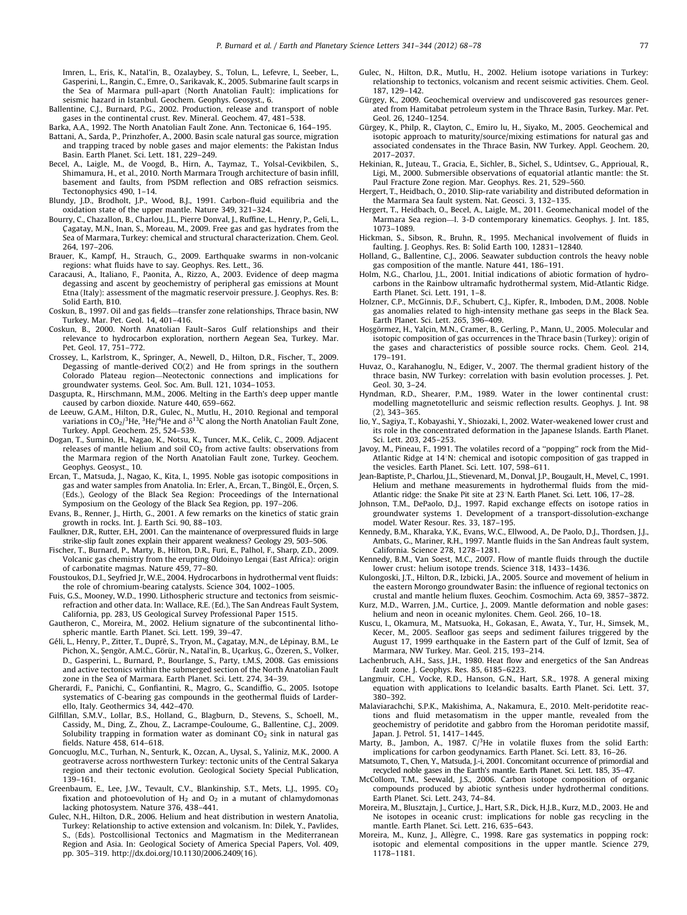<span id="page-9-0"></span>Imren, L., Eris, K., Natal'in, B., Ozalaybey, S., Tolun, L., Lefevre, I., Seeber, L., Gasperini, L., Rangin, C., Emre, O., Sarikavak, K., 2005. Submarine fault scarps in the Sea of Marmara pull-apart (North Anatolian Fault): implications for seismic hazard in Istanbul. Geochem. Geophys. Geosyst., 6.

- Ballentine, C.J., Burnard, P.G., 2002. Production, release and transport of noble gases in the continental crust. Rev. Mineral. Geochem. 47, 481–538.
- Barka, A.A., 1992. The North Anatolian Fault Zone. Ann. Tectonicae 6, 164–195. Battani, A., Sarda, P., Prinzhofer, A., 2000. Basin scale natural gas source, migration and trapping traced by noble gases and major elements: the Pakistan Indus Basin. Earth Planet. Sci. Lett. 181, 229–249.
- Becel, A., Laigle, M., de Voogd, B., Hirn, A., Taymaz, T., Yolsal-Cevikbilen, S., Shimamura, H., et al., 2010. North Marmara Trough architecture of basin infill, basement and faults, from PSDM reflection and OBS refraction seismics. Tectonophysics 490, 1–14.
- Blundy, J.D., Brodholt, J.P., Wood, B.J., 1991. Carbon–fluid equilibria and the oxidation state of the upper mantle. Nature 349, 321–324.
- Bourry, C., Chazallon, B., Charlou, J.L., Pierre Donval, J., Ruffine, L., Henry, P., Geli, L., Cagatay, M.N., Inan, S., Moreau, M., 2009. Free gas and gas hydrates from the Sea of Marmara, Turkey: chemical and structural characterization. Chem. Geol. 264, 197–206.
- Brauer, K., Kampf, H., Strauch, G., 2009. Earthquake swarms in non-volcanic regions: what fluids have to say. Geophys. Res. Lett., 36.
- Caracausi, A., Italiano, F., Paonita, A., Rizzo, A., 2003. Evidence of deep magma degassing and ascent by geochemistry of peripheral gas emissions at Mount Etna (Italy): assessment of the magmatic reservoir pressure. J. Geophys. Res. B: Solid Earth, B10.
- Coskun, B., 1997. Oil and gas fields—transfer zone relationships, Thrace basin, NW Turkey. Mar. Pet. Geol. 14, 401–416.
- Coskun, B., 2000. North Anatolian Fault–Saros Gulf relationships and their relevance to hydrocarbon exploration, northern Aegean Sea, Turkey. Mar. Pet. Geol. 17, 751–772.
- Crossey, L., Karlstrom, K., Springer, A., Newell, D., Hilton, D.R., Fischer, T., 2009. Degassing of mantle-derived CO(2) and He from springs in the southern Colorado Plateau region—Neotectonic connections and implications for groundwater systems. Geol. Soc. Am. Bull. 121, 1034–1053.
- Dasgupta, R., Hirschmann, M.M., 2006. Melting in the Earth's deep upper mantle caused by carbon dioxide. Nature 440, 659–662.
- de Leeuw, G.A.M., Hilton, D.R., Gulec, N., Mutlu, H., 2010. Regional and temporal variations in CO<sub>2</sub>/<sup>3</sup>He, <sup>3</sup>He/<sup>4</sup>He and  $\delta^{13}$ C along the North Anatolian Fault Zone, Turkey. Appl. Geochem. 25, 524–539.
- Dogan, T., Sumino, H., Nagao, K., Notsu, K., Tuncer, M.K., Celik, C., 2009. Adjacent releases of mantle helium and soil  $CO<sub>2</sub>$  from active faults: observations from the Marmara region of the North Anatolian Fault zone, Turkey. Geochem. Geophys. Geosyst., 10.
- Ercan, T., Matsuda, J., Nagao, K., Kita, I., 1995. Noble gas isotopic compositions in gas and water samples from Anatolia. In: Erler, A., Ercan, T., Bingöl, E., Örcen, S. (Eds.), Geology of the Black Sea Region: Proceedings of the International Symposium on the Geology of the Black Sea Region, pp. 197–206.
- Evans, B., Renner, J., Hirth, G., 2001. A few remarks on the kinetics of static grain growth in rocks. Int. J. Earth Sci. 90, 88–103.
- Faulkner, D.R., Rutter, E.H., 2001. Can the maintenance of overpressured fluids in large strike-slip fault zones explain their apparent weakness? Geology 29, 503–506.
- Fischer, T., Burnard, P., Marty, B., Hilton, D.R., Furi, E., Palhol, F., Sharp, Z.D., 2009. Volcanic gas chemistry from the erupting Oldoinyo Lengai (East Africa): origin of carbonatite magmas. Nature 459, 77–80.
- Foustoukos, D.I., Seyfried Jr, W.E., 2004. Hydrocarbons in hydrothermal vent fluids: the role of chromium-bearing catalysts. Science 304, 1002–1005.
- Fuis, G.S., Mooney, W.D., 1990. Lithospheric structure and tectonics from seismicrefraction and other data. In: Wallace, R.E. (Ed.), The San Andreas Fault System, California, pp. 283, US Geological Survey Professional Paper 1515.
- Gautheron, C., Moreira, M., 2002. Helium signature of the subcontinental lithospheric mantle. Earth Planet. Sci. Lett. 199, 39–47.
- Géli, L., Henry, P., Zitter, T., Dupré, S., Tryon, M., Çagatay, M.N., de Lépinay, B.M., Le Pichon, X., Şengör, A.M.C., Görür, N., Natal'in, B., Uçarkuş, G., Özeren, S., Volker, D., Gasperini, L., Burnard, P., Bourlange, S., Party, t.M.S, 2008. Gas emissions and active tectonics within the submerged section of the North Anatolian Fault zone in the Sea of Marmara. Earth Planet. Sci. Lett. 274, 34–39.
- Gherardi, F., Panichi, C., Gonfiantini, R., Magro, G., Scandiffio, G., 2005. Isotope systematics of C-bearing gas compounds in the geothermal fluids of Larderello, Italy. Geothermics 34, 442–470.
- Gilfillan, S.M.V., Lollar, B.S., Holland, G., Blagburn, D., Stevens, S., Schoell, M., Cassidy, M., Ding, Z., Zhou, Z., Lacrampe-Couloume, G., Ballentine, C.J., 2009. Solubility trapping in formation water as dominant  $CO<sub>2</sub>$  sink in natural gas fields. Nature 458, 614–618.
- Goncuoglu, M.C., Turhan, N., Senturk, K., Ozcan, A., Uysal, S., Yaliniz, M.K., 2000. A geotraverse across northwestern Turkey: tectonic units of the Central Sakarya region and their tectonic evolution. Geological Society Special Publication, 139–161.
- Greenbaum, E., Lee, J.W., Tevault, C.V., Blankinship, S.T., Mets, L.J., 1995. CO<sub>2</sub> fixation and photoevolution of  $H_2$  and  $O_2$  in a mutant of chlamydomonas lacking photosystem. Nature 376, 438–441.
- Gulec, N.H., Hilton, D.R., 2006. Helium and heat distribution in western Anatolia, Turkey: Relationship to active extension and volcanism. In: Dilek, Y., Pavlides, S., (Eds). Postcollisional Tectonics and Magmatism in the Mediterranean Region and Asia. In: Geological Society of America Special Papers, Vol. 409, pp. 305–319. [http://dx.doi.org/10.1130/2006.2409\(16\).](dx.doi.org/10.1130/2006.2409(16))
- Gulec, N., Hilton, D.R., Mutlu, H., 2002. Helium isotope variations in Turkey: relationship to tectonics, volcanism and recent seismic activities. Chem. Geol. 187, 129–142.
- Gürgey, K., 2009. Geochemical overview and undiscovered gas resources generated from Hamitabat petroleum system in the Thrace Basin, Turkey. Mar. Pet. Geol. 26, 1240–1254.
- Gürgey, K., Philp, R., Clayton, C., Emiro lu, H., Siyako, M., 2005. Geochemical and isotopic approach to maturity/source/mixing estimations for natural gas and associated condensates in the Thrace Basin, NW Turkey. Appl. Geochem. 20, 2017–2037.
- Hekinian, R., Juteau, T., Gracia, E., Sichler, B., Sichel, S., Udintsev, G., Apprioual, R., Ligi, M., 2000. Submersible observations of equatorial atlantic mantle: the St. Paul Fracture Zone region. Mar. Geophys. Res. 21, 529–560.
- Hergert, T., Heidbach, O., 2010. Slip-rate variability and distributed deformation in the Marmara Sea fault system. Nat. Geosci. 3, 132–135.
- Hergert, T., Heidbach, O., Becel, A., Laigle, M., 2011. Geomechanical model of the Marmara Sea region—I. 3-D contemporary kinematics. Geophys. J. Int. 185, 1073–1089.
- Hickman, S., Sibson, R., Bruhn, R., 1995. Mechanical involvement of fluids in faulting. J. Geophys. Res. B: Solid Earth 100, 12831–12840.
- Holland, G., Ballentine, C.J., 2006. Seawater subduction controls the heavy noble gas composition of the mantle. Nature 441, 186–191.
- Holm, N.G., Charlou, J.L., 2001. Initial indications of abiotic formation of hydrocarbons in the Rainbow ultramafic hydrothermal system, Mid-Atlantic Ridge. Earth Planet. Sci. Lett. 191, 1–8.
- Holzner, C.P., McGinnis, D.F., Schubert, C.J., Kipfer, R., Imboden, D.M., 2008. Noble gas anomalies related to high-intensity methane gas seeps in the Black Sea. Earth Planet. Sci. Lett. 265, 396–409.
- Hosgörmez, H., Yalçin, M.N., Cramer, B., Gerling, P., Mann, U., 2005. Molecular and isotopic composition of gas occurrences in the Thrace basin (Turkey): origin of the gases and characteristics of possible source rocks. Chem. Geol. 214, 179–191.
- Huvaz, O., Karahanoglu, N., Ediger, V., 2007. The thermal gradient history of the thrace basin, NW Turkey: correlation with basin evolution processes. J. Pet. Geol. 30, 3–24.
- Hyndman, R.D., Shearer, P.M., 1989. Water in the lower continental crust: modelling magnetotelluric and seismic reflection results. Geophys. J. Int. 98 (2), 343–365.
- Iio, Y., Sagiya, T., Kobayashi, Y., Shiozaki, I., 2002. Water-weakened lower crust and its role in the concentrated deformation in the Japanese Islands. Earth Planet. Sci. Lett. 203, 245–253.
- Javoy, M., Pineau, F., 1991. The volatiles record of a ''popping'' rock from the Mid-Atlantic Ridge at  $14^\circ$ N: chemical and isotopic composition of gas trapped in the vesicles. Earth Planet. Sci. Lett. 107, 598–611.
- Jean-Baptiste, P., Charlou, J.L., Stievenard, M., Donval, J.P., Bougault, H., Mevel, C., 1991. Helium and methane measurements in hydrothermal fluids from the mid-Atlantic ridge: the Snake Pit site at 23<sup>o</sup>N. Earth Planet. Sci. Lett. 106, 17-28.
- Johnson, T.M., DePaolo, D.J., 1997. Rapid exchange effects on isotope ratios in groundwater systems 1. Development of a transport-dissolution-exchange model. Water Resour. Res. 33, 187–195.
- Kennedy, B.M., Kharaka, Y.K., Evans, W.C., Ellwood, A., De Paolo, D.J., Thordsen, J.J., Ambats, G., Mariner, R.H., 1997. Mantle fluids in the San Andreas fault system, California. Science 278, 1278–1281.
- Kennedy, B.M., Van Soest, M.C., 2007. Flow of mantle fluids through the ductile lower crust: helium isotope trends. Science 318, 1433–1436.

Kulongoski, J.T., Hilton, D.R., Izbicki, J.A., 2005. Source and movement of helium in the eastern Morongo groundwater Basin: the influence of regional tectonics on crustal and mantle helium fluxes. Geochim. Cosmochim. Acta 69, 3857–3872.

- Kurz, M.D., Warren, J.M., Curtice, J., 2009. Mantle deformation and noble gases: helium and neon in oceanic mylonites. Chem. Geol. 266, 10–18.
- Kuscu, I., Okamura, M., Matsuoka, H., Gokasan, E., Awata, Y., Tur, H., Simsek, M., Kecer, M., 2005. Seafloor gas seeps and sediment failures triggered by the August 17, 1999 earthquake in the Eastern part of the Gulf of Izmit, Sea of Marmara, NW Turkey. Mar. Geol. 215, 193–214.
- Lachenbruch, A.H., Sass, J.H., 1980. Heat flow and energetics of the San Andreas fault zone. J. Geophys. Res. 85, 6185–6223.
- Langmuir, C.H., Vocke, R.D., Hanson, G.N., Hart, S.R., 1978. A general mixing equation with applications to Icelandic basalts. Earth Planet. Sci. Lett. 37, 380–392.
- Malaviarachchi, S.P.K., Makishima, A., Nakamura, E., 2010. Melt-peridotite reactions and fluid metasomatism in the upper mantle, revealed from the geochemistry of peridotite and gabbro from the Horoman peridotite massif, Japan. J. Petrol. 51, 1417–1445.
- Marty, B., Jambon, A., 1987.  $C/^{3}$ He in volatile fluxes from the solid Earth: implications for carbon geodynamics. Earth Planet. Sci. Lett. 83, 16–26.
- Matsumoto, T., Chen, Y., Matsuda, J.-i, 2001. Concomitant occurrence of primordial and recycled noble gases in the Earth's mantle. Earth Planet. Sci. Lett. 185, 35–47.
- McCollom, T.M., Seewald, J.S., 2006. Carbon isotope composition of organic compounds produced by abiotic synthesis under hydrothermal conditions. Earth Planet. Sci. Lett. 243, 74–84.
- Moreira, M., Blusztajn, J., Curtice, J., Hart, S.R., Dick, H.J.B., Kurz, M.D., 2003. He and Ne isotopes in oceanic crust: implications for noble gas recycling in the mantle. Earth Planet. Sci. Lett. 216, 635–643.
- Moreira, M., Kunz, J., Allègre, C., 1998. Rare gas systematics in popping rock: isotopic and elemental compositions in the upper mantle. Science 279, 1178–1181.